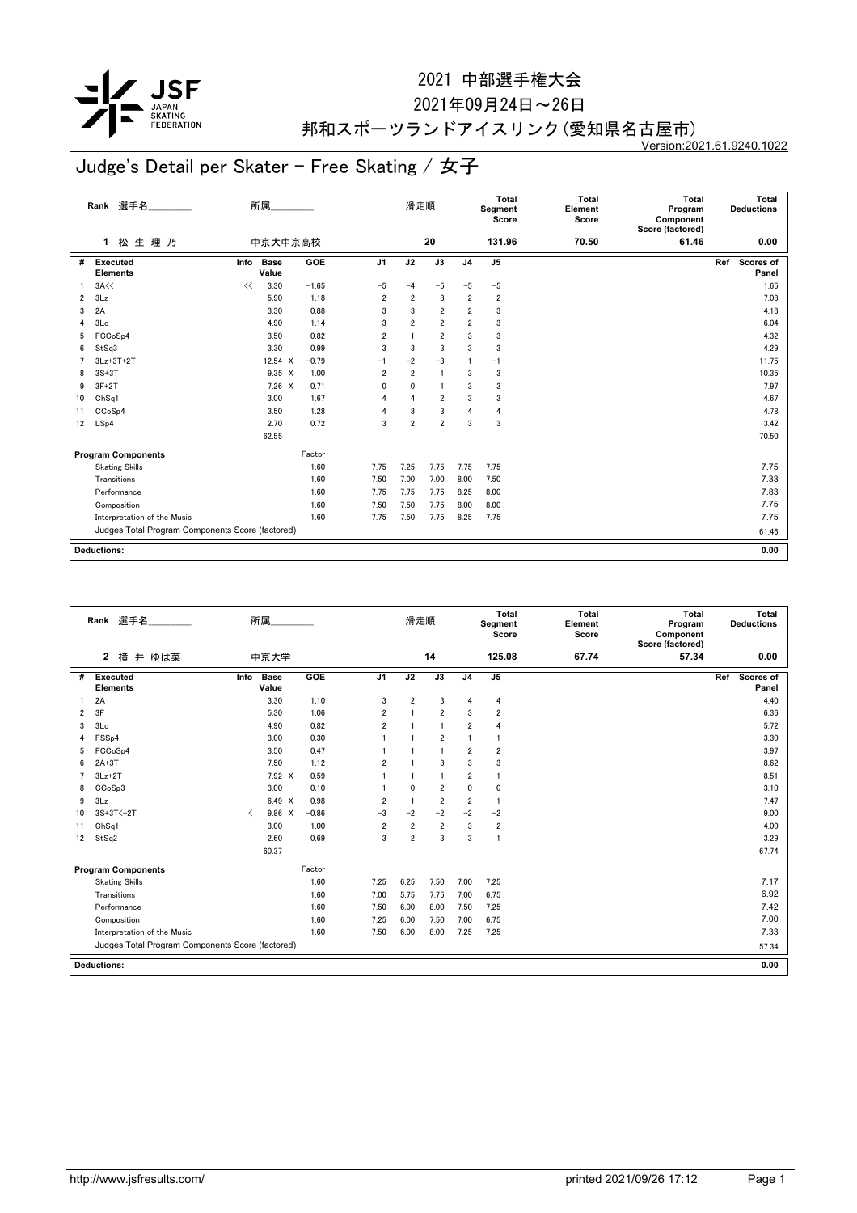

2021年09月24日~26日

## 邦和スポーツランドアイスリンク(愛知県名古屋市)

Version:2021.61.9240.1022

|                | Rank 選手名                                         |      | 所属                   |         |                | 滑走順            |                 |                | <b>Total</b><br>Segment<br>Score | <b>Total</b><br>Element<br>Score | <b>Total</b><br>Program<br>Component<br>Score (factored) | Total<br><b>Deductions</b> |
|----------------|--------------------------------------------------|------|----------------------|---------|----------------|----------------|-----------------|----------------|----------------------------------|----------------------------------|----------------------------------------------------------|----------------------------|
|                | 松生理乃<br>1                                        |      | 中京大中京高校              |         |                |                | 20              |                | 131.96                           | 70.50                            | 61.46                                                    | 0.00                       |
| #              | <b>Executed</b><br><b>Elements</b>               | Info | <b>Base</b><br>Value | GOE     | J <sub>1</sub> | J2             | $\overline{J3}$ | J <sub>4</sub> | J <sub>5</sub>                   |                                  |                                                          | Ref<br>Scores of<br>Panel  |
|                | 3A<<                                             | <<   | 3.30                 | $-1.65$ | $-5$           | $-4$           | $-5$            | $-5$           | $-5$                             |                                  |                                                          | 1.65                       |
| $\overline{2}$ | 3Lz                                              |      | 5.90                 | 1.18    | $\overline{2}$ | $\overline{2}$ | 3               | $\overline{2}$ | $\overline{\mathbf{2}}$          |                                  |                                                          | 7.08                       |
| 3              | 2A                                               |      | 3.30                 | 0.88    | 3              | 3              | $\overline{2}$  | $\overline{2}$ | 3                                |                                  |                                                          | 4.18                       |
| 4              | 3Lo                                              |      | 4.90                 | 1.14    | 3              | $\overline{2}$ | $\overline{2}$  | $\overline{2}$ | 3                                |                                  |                                                          | 6.04                       |
| 5              | FCCoSp4                                          |      | 3.50                 | 0.82    | $\overline{2}$ |                | $\overline{2}$  | 3              | 3                                |                                  |                                                          | 4.32                       |
| 6              | StSq3                                            |      | 3.30                 | 0.99    | 3              | 3              | 3               | 3              | 3                                |                                  |                                                          | 4.29                       |
|                | $3Lz+3T+2T$                                      |      | 12.54 X              | $-0.79$ | $-1$           | $-2$           | $-3$            |                | $-1$                             |                                  |                                                          | 11.75                      |
| 8              | $3S+3T$                                          |      | $9.35 \times$        | 1.00    | $\overline{2}$ | $\overline{2}$ | $\overline{1}$  | 3              | 3                                |                                  |                                                          | 10.35                      |
| 9              | $3F+2T$                                          |      | $7.26 \times$        | 0.71    | 0              | 0              | -1              | 3              | 3                                |                                  |                                                          | 7.97                       |
| 10             | ChSq1                                            |      | 3.00                 | 1.67    | $\overline{4}$ | $\overline{4}$ | $\overline{2}$  | 3              | 3                                |                                  |                                                          | 4.67                       |
| 11             | CCoSp4                                           |      | 3.50                 | 1.28    | 4              | 3              | 3               | $\overline{4}$ | 4                                |                                  |                                                          | 4.78                       |
| 12             | LSp4                                             |      | 2.70                 | 0.72    | 3              | $\overline{2}$ | $\overline{2}$  | 3              | 3                                |                                  |                                                          | 3.42                       |
|                |                                                  |      | 62.55                |         |                |                |                 |                |                                  |                                  |                                                          | 70.50                      |
|                | <b>Program Components</b>                        |      |                      | Factor  |                |                |                 |                |                                  |                                  |                                                          |                            |
|                | <b>Skating Skills</b>                            |      |                      | 1.60    | 7.75           | 7.25           | 7.75            | 7.75           | 7.75                             |                                  |                                                          | 7.75                       |
|                | Transitions                                      |      |                      | 1.60    | 7.50           | 7.00           | 7.00            | 8.00           | 7.50                             |                                  |                                                          | 7.33                       |
|                | Performance                                      |      |                      | 1.60    | 7.75           | 7.75           | 7.75            | 8.25           | 8.00                             |                                  |                                                          | 7.83                       |
|                | Composition                                      |      |                      | 1.60    | 7.50           | 7.50           | 7.75            | 8.00           | 8.00                             |                                  |                                                          | 7.75                       |
|                | Interpretation of the Music                      |      |                      | 1.60    | 7.75           | 7.50           | 7.75            | 8.25           | 7.75                             |                                  |                                                          | 7.75                       |
|                | Judges Total Program Components Score (factored) |      |                      |         |                |                |                 |                |                                  |                                  |                                                          | 61.46                      |
|                | <b>Deductions:</b>                               |      |                      |         |                |                |                 |                |                                  |                                  |                                                          | 0.00                       |

|                | 選手名<br>Rank                                      |           | 所属                   |            |                | 滑走順            |                |                | Total<br>Segment<br>Score | <b>Total</b><br>Element<br>Score | Total<br>Program<br>Component<br>Score (factored) | Total<br><b>Deductions</b> |
|----------------|--------------------------------------------------|-----------|----------------------|------------|----------------|----------------|----------------|----------------|---------------------------|----------------------------------|---------------------------------------------------|----------------------------|
|                | $\mathbf{2}$<br>横<br>井 ゆは菜                       |           | 中京大学                 |            |                |                | 14             |                | 125.08                    | 67.74                            | 57.34                                             | 0.00                       |
| #              | <b>Executed</b><br><b>Elements</b>               | Info      | <b>Base</b><br>Value | <b>GOE</b> | J <sub>1</sub> | J2             | J3             | J <sub>4</sub> | J <sub>5</sub>            |                                  |                                                   | Scores of<br>Ref<br>Panel  |
|                | 2A                                               |           | 3.30                 | 1.10       | 3              | $\overline{2}$ | 3              | $\overline{4}$ | 4                         |                                  |                                                   | 4.40                       |
| 2              | 3F                                               |           | 5.30                 | 1.06       | 2              | -1             | $\overline{2}$ | 3              | $\overline{2}$            |                                  |                                                   | 6.36                       |
| 3              | 3Lo                                              |           | 4.90                 | 0.82       | $\overline{2}$ |                | $\mathbf{1}$   | $\overline{2}$ | $\overline{4}$            |                                  |                                                   | 5.72                       |
| 4              | FSS <sub>p4</sub>                                |           | 3.00                 | 0.30       |                |                | $\overline{2}$ | $\mathbf{1}$   | $\mathbf{1}$              |                                  |                                                   | 3.30                       |
| 5              | FCCoSp4                                          |           | 3.50                 | 0.47       |                |                | 1              | $\overline{2}$ | $\overline{2}$            |                                  |                                                   | 3.97                       |
| 6              | $2A+3T$                                          |           | 7.50                 | 1.12       | $\overline{2}$ |                | 3              | 3              | 3                         |                                  |                                                   | 8.62                       |
| $\overline{7}$ | $3Lz + 2T$                                       |           | 7.92 X               | 0.59       |                |                | $\mathbf{1}$   | $\overline{2}$ | $\overline{1}$            |                                  |                                                   | 8.51                       |
| 8              | CCoSp3                                           |           | 3.00                 | 0.10       |                | $\mathbf{0}$   | $\overline{2}$ | 0              | $\mathbf 0$               |                                  |                                                   | 3.10                       |
| 9              | 3Lz                                              |           | 6.49 X               | 0.98       | 2              | -1             | $\overline{2}$ | $\overline{2}$ | $\mathbf{1}$              |                                  |                                                   | 7.47                       |
| 10             | 3S+3T<+2T                                        | $\langle$ | 9.86 X               | $-0.86$    | $-3$           | $-2$           | $-2$           | $-2$           | $-2$                      |                                  |                                                   | 9.00                       |
| 11             | ChSq1                                            |           | 3.00                 | 1.00       | $\overline{2}$ | $\overline{2}$ | $\overline{2}$ | 3              | $\overline{2}$            |                                  |                                                   | 4.00                       |
| 12             | StSq2                                            |           | 2.60                 | 0.69       | 3              | $\overline{2}$ | 3              | 3              | $\overline{1}$            |                                  |                                                   | 3.29                       |
|                |                                                  |           | 60.37                |            |                |                |                |                |                           |                                  |                                                   | 67.74                      |
|                | <b>Program Components</b>                        |           |                      | Factor     |                |                |                |                |                           |                                  |                                                   |                            |
|                | <b>Skating Skills</b>                            |           |                      | 1.60       | 7.25           | 6.25           | 7.50           | 7.00           | 7.25                      |                                  |                                                   | 7.17                       |
|                | Transitions                                      |           |                      | 1.60       | 7.00           | 5.75           | 7.75           | 7.00           | 6.75                      |                                  |                                                   | 6.92                       |
|                | Performance                                      |           |                      | 1.60       | 7.50           | 6.00           | 8.00           | 7.50           | 7.25                      |                                  |                                                   | 7.42                       |
|                | Composition                                      |           |                      | 1.60       | 7.25           | 6.00           | 7.50           | 7.00           | 6.75                      |                                  |                                                   | 7.00                       |
|                | Interpretation of the Music                      |           |                      | 1.60       | 7.50           | 6.00           | 8.00           | 7.25           | 7.25                      |                                  |                                                   | 7.33                       |
|                | Judges Total Program Components Score (factored) |           |                      |            |                |                |                |                |                           |                                  |                                                   | 57.34                      |
|                | <b>Deductions:</b>                               |           |                      |            |                |                |                |                |                           |                                  |                                                   | 0.00                       |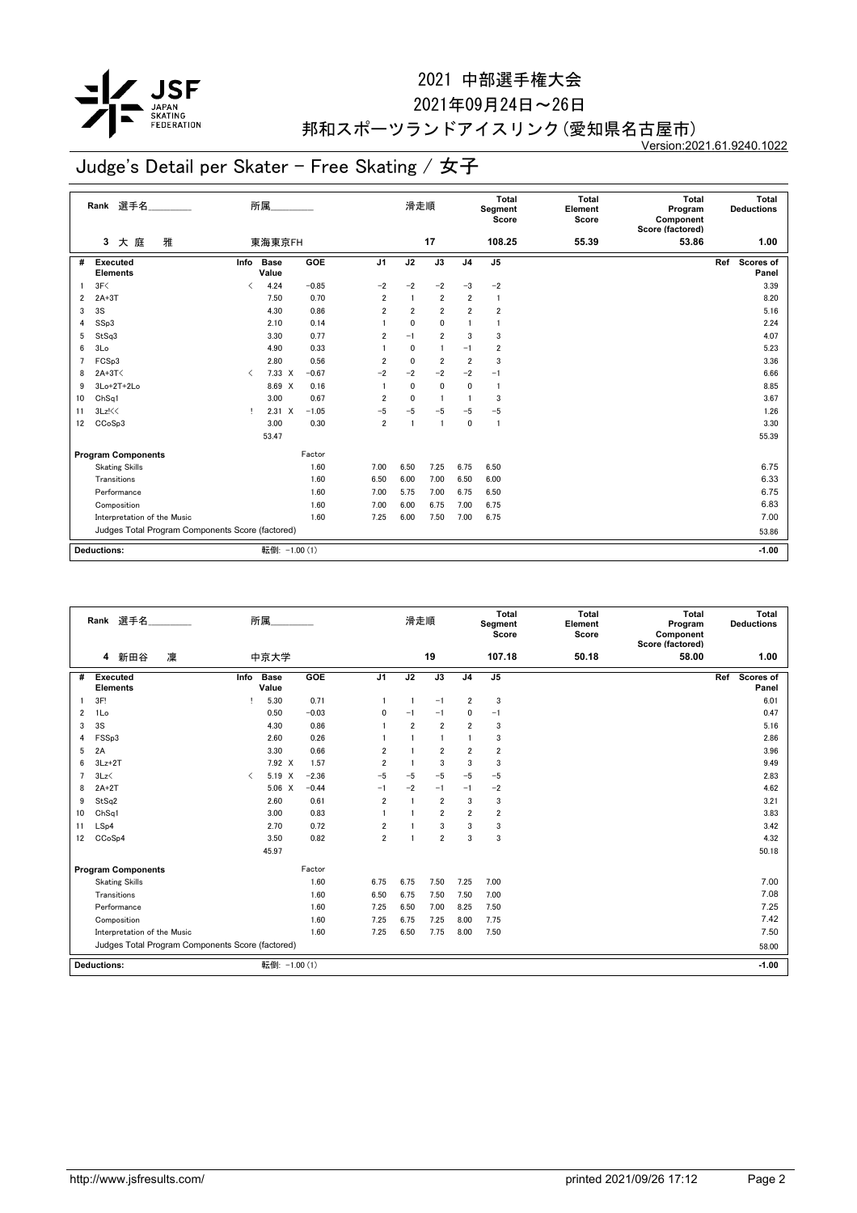

2021年09月24日~26日

## 邦和スポーツランドアイスリンク(愛知県名古屋市)

Version:2021.61.9240.1022

|    | Rank 選手名                                         |                                          | 所属                   |         |                | 滑走順            |                 |                | Total<br>Segment<br>Score | <b>Total</b><br>Element<br>Score | <b>Total</b><br>Program<br>Component<br>Score (factored) | Total<br><b>Deductions</b> |
|----|--------------------------------------------------|------------------------------------------|----------------------|---------|----------------|----------------|-----------------|----------------|---------------------------|----------------------------------|----------------------------------------------------------|----------------------------|
|    | 大庭<br>雅<br>3                                     |                                          | 東海東京FH               |         |                |                | 17              |                | 108.25                    | 55.39                            | 53.86                                                    | 1.00                       |
| #  | Executed<br><b>Elements</b>                      | Info                                     | <b>Base</b><br>Value | GOE     | J <sub>1</sub> | J2             | $\overline{J3}$ | J <sub>4</sub> | J <sub>5</sub>            |                                  |                                                          | Scores of<br>Ref<br>Panel  |
| -1 | 3F<                                              | $\overline{\left\langle \right\rangle }$ | 4.24                 | $-0.85$ | $-2$           | $-2$           | $-2$            | $-3$           | $-2$                      |                                  |                                                          | 3.39                       |
| 2  | $2A+3T$                                          |                                          | 7.50                 | 0.70    | $\overline{2}$ |                | $\overline{2}$  | $\overline{2}$ | $\mathbf{1}$              |                                  |                                                          | 8.20                       |
| 3  | 3S                                               |                                          | 4.30                 | 0.86    | $\overline{2}$ | $\overline{2}$ | $\overline{2}$  | $\overline{2}$ | $\overline{\mathbf{2}}$   |                                  |                                                          | 5.16                       |
| 4  | SSp3                                             |                                          | 2.10                 | 0.14    |                | $\mathbf{0}$   | $\mathbf{0}$    |                |                           |                                  |                                                          | 2.24                       |
| 5  | StSq3                                            |                                          | 3.30                 | 0.77    | 2              | $-1$           | $\overline{2}$  | 3              | 3                         |                                  |                                                          | 4.07                       |
| 6  | 3Lo                                              |                                          | 4.90                 | 0.33    |                | 0              | $\blacksquare$  | $-1$           | $\overline{\mathbf{2}}$   |                                  |                                                          | 5.23                       |
|    | FCSp3                                            |                                          | 2.80                 | 0.56    | 2              | $\mathbf 0$    | $\overline{2}$  | $\overline{2}$ | 3                         |                                  |                                                          | 3.36                       |
| 8  | $2A+3T<$                                         | $\langle$                                | $7.33 \times$        | $-0.67$ | $-2$           | $-2$           | $-2$            | $-2$           | $-1$                      |                                  |                                                          | 6.66                       |
| 9  | $3Lo+2T+2Lo$                                     |                                          | 8.69 X               | 0.16    |                | $\mathbf{0}$   | 0               | 0              | -1                        |                                  |                                                          | 8.85                       |
| 10 | ChSq1                                            |                                          | 3.00                 | 0.67    | $\overline{2}$ | $\mathbf{0}$   | $\overline{1}$  | $\mathbf{1}$   | 3                         |                                  |                                                          | 3.67                       |
| 11 | 3Lz!<<                                           | т.                                       | $2.31 \times$        | $-1.05$ | $-5$           | $-5$           | $-5$            | $-5$           | $-5$                      |                                  |                                                          | 1.26                       |
| 12 | CCoSp3                                           |                                          | 3.00                 | 0.30    | $\overline{2}$ | $\overline{1}$ | -1              | 0              | -1                        |                                  |                                                          | 3.30                       |
|    |                                                  |                                          | 53.47                |         |                |                |                 |                |                           |                                  |                                                          | 55.39                      |
|    | <b>Program Components</b>                        |                                          |                      | Factor  |                |                |                 |                |                           |                                  |                                                          |                            |
|    | <b>Skating Skills</b>                            |                                          |                      | 1.60    | 7.00           | 6.50           | 7.25            | 6.75           | 6.50                      |                                  |                                                          | 6.75                       |
|    | Transitions                                      |                                          |                      | 1.60    | 6.50           | 6.00           | 7.00            | 6.50           | 6.00                      |                                  |                                                          | 6.33                       |
|    | Performance                                      |                                          |                      | 1.60    | 7.00           | 5.75           | 7.00            | 6.75           | 6.50                      |                                  |                                                          | 6.75                       |
|    | Composition                                      |                                          |                      | 1.60    | 7.00           | 6.00           | 6.75            | 7.00           | 6.75                      |                                  |                                                          | 6.83                       |
|    | Interpretation of the Music                      |                                          |                      | 1.60    | 7.25           | 6.00           | 7.50            | 7.00           | 6.75                      |                                  |                                                          | 7.00                       |
|    | Judges Total Program Components Score (factored) |                                          |                      |         |                |                |                 |                |                           |                                  |                                                          | 53.86                      |
|    |                                                  |                                          |                      |         |                |                |                 |                |                           |                                  |                                                          |                            |
|    | <b>Deductions:</b>                               |                                          | 転倒: -1.00 (1)        |         |                |                |                 |                |                           |                                  |                                                          | $-1.00$                    |

|                | 選手名<br>Rank                                      |                               | 所属                   |            |                | 滑走順            |                |                | <b>Total</b><br>Segment<br>Score | <b>Total</b><br>Element<br>Score | <b>Total</b><br>Program<br>Component<br>Score (factored) |     | Total<br><b>Deductions</b> |
|----------------|--------------------------------------------------|-------------------------------|----------------------|------------|----------------|----------------|----------------|----------------|----------------------------------|----------------------------------|----------------------------------------------------------|-----|----------------------------|
|                | 新田谷<br>凜<br>4                                    |                               | 中京大学                 |            |                |                | 19             |                | 107.18                           | 50.18                            | 58.00                                                    |     | 1.00                       |
| #              | Executed<br><b>Elements</b>                      | Info                          | <b>Base</b><br>Value | <b>GOE</b> | J <sub>1</sub> | J2             | J3             | J <sub>4</sub> | J <sub>5</sub>                   |                                  |                                                          | Ref | Scores of<br>Panel         |
|                | 3F!                                              |                               | 5.30                 | 0.71       |                | 1              | $-1$           | $\overline{2}$ | 3                                |                                  |                                                          |     | 6.01                       |
| 2              | 1Lo                                              |                               | 0.50                 | $-0.03$    | 0              | $-1$           | $-1$           | 0              | $-1$                             |                                  |                                                          |     | 0.47                       |
| 3              | 3S                                               |                               | 4.30                 | 0.86       |                | $\overline{2}$ | $\overline{2}$ | $\overline{2}$ | 3                                |                                  |                                                          |     | 5.16                       |
| 4              | FSSp3                                            |                               | 2.60                 | 0.26       |                |                |                |                | 3                                |                                  |                                                          |     | 2.86                       |
| 5              | 2A                                               |                               | 3.30                 | 0.66       | $\overline{2}$ |                | $\overline{2}$ | $\overline{2}$ | $\overline{2}$                   |                                  |                                                          |     | 3.96                       |
| 6              | $3Lz + 2T$                                       |                               | $7.92 \times$        | 1.57       | $\overline{2}$ | 1              | 3              | 3              | 3                                |                                  |                                                          |     | 9.49                       |
| $\overline{7}$ | 3Lz<                                             | $\overline{\left( \right. }%$ | 5.19 X               | $-2.36$    | $-5$           | $-5$           | $-5$           | $-5$           | $-5$                             |                                  |                                                          |     | 2.83                       |
| 8              | $2A+2T$                                          |                               | $5.06 \t X$          | $-0.44$    | $-1$           | $-2$           | $-1$           | -1             | $-2$                             |                                  |                                                          |     | 4.62                       |
| 9              | StSq2                                            |                               | 2.60                 | 0.61       | $\overline{2}$ |                | $\overline{2}$ | 3              | 3                                |                                  |                                                          |     | 3.21                       |
| 10             | ChSq1                                            |                               | 3.00                 | 0.83       |                |                | $\overline{2}$ | $\overline{2}$ | $\overline{2}$                   |                                  |                                                          |     | 3.83                       |
| 11             | LSp4                                             |                               | 2.70                 | 0.72       | $\overline{2}$ |                | 3              | 3              | 3                                |                                  |                                                          |     | 3.42                       |
| 12             | CCoSp4                                           |                               | 3.50                 | 0.82       | $\overline{2}$ | $\overline{1}$ | $\overline{2}$ | 3              | 3                                |                                  |                                                          |     | 4.32                       |
|                |                                                  |                               | 45.97                |            |                |                |                |                |                                  |                                  |                                                          |     | 50.18                      |
|                | <b>Program Components</b>                        |                               |                      | Factor     |                |                |                |                |                                  |                                  |                                                          |     |                            |
|                | <b>Skating Skills</b>                            |                               |                      | 1.60       | 6.75           | 6.75           | 7.50           | 7.25           | 7.00                             |                                  |                                                          |     | 7.00                       |
|                | Transitions                                      |                               |                      | 1.60       | 6.50           | 6.75           | 7.50           | 7.50           | 7.00                             |                                  |                                                          |     | 7.08                       |
|                | Performance                                      |                               |                      | 1.60       | 7.25           | 6.50           | 7.00           | 8.25           | 7.50                             |                                  |                                                          |     | 7.25                       |
|                | Composition                                      |                               |                      | 1.60       | 7.25           | 6.75           | 7.25           | 8.00           | 7.75                             |                                  |                                                          |     | 7.42                       |
|                | Interpretation of the Music                      |                               |                      | 1.60       | 7.25           | 6.50           | 7.75           | 8.00           | 7.50                             |                                  |                                                          |     | 7.50                       |
|                | Judges Total Program Components Score (factored) |                               |                      |            |                |                |                |                |                                  |                                  |                                                          |     | 58.00                      |
|                | <b>Deductions:</b>                               |                               | 転倒: -1.00 (1)        |            |                |                |                |                |                                  |                                  |                                                          |     | $-1.00$                    |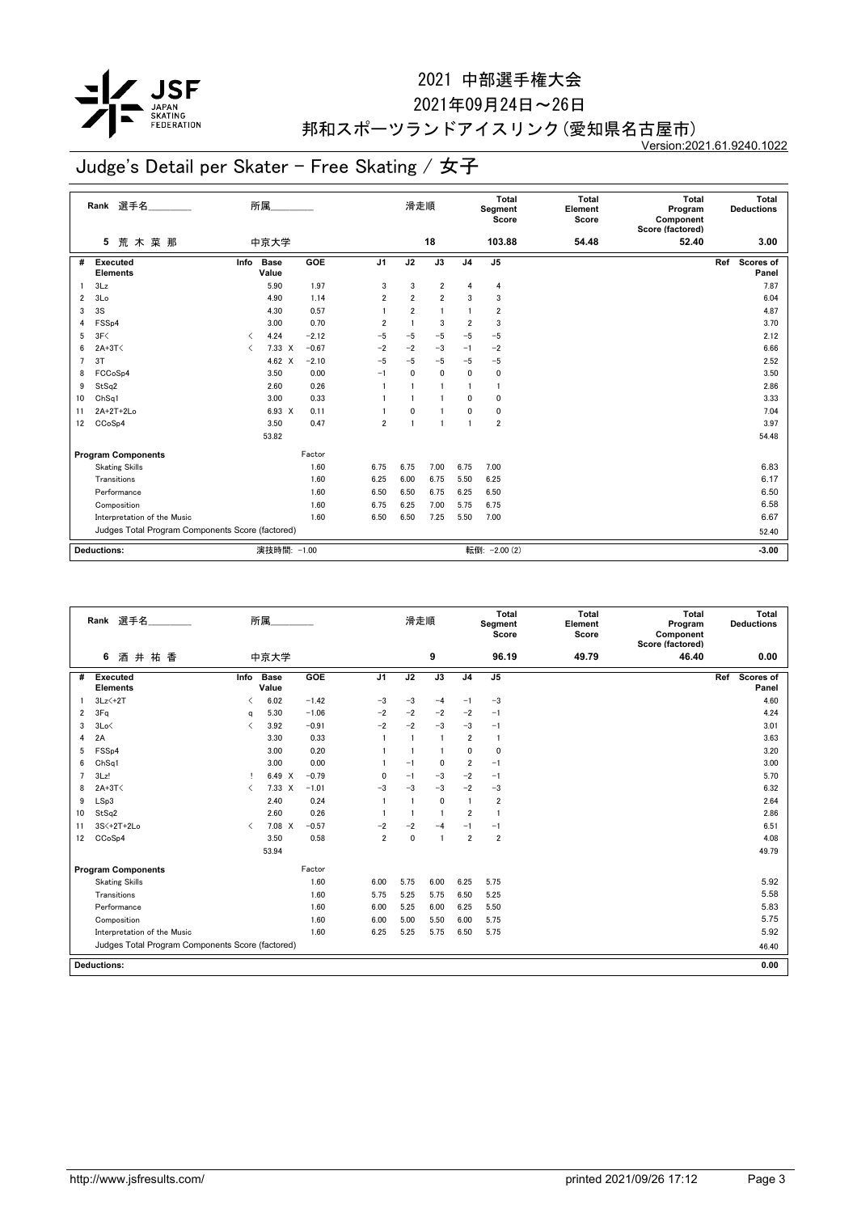

#### 2021年09月24日~26日

## 邦和スポーツランドアイスリンク(愛知県名古屋市)

Version:2021.61.9240.1022

|                         | 選手名<br>Rank                                      |                               | 所属                   |            |                | 滑走順            |                         |                         | Total<br>Segment<br>Score | Total<br>Element<br>Score | Total<br>Program<br>Component<br>Score (factored) | Total<br><b>Deductions</b> |
|-------------------------|--------------------------------------------------|-------------------------------|----------------------|------------|----------------|----------------|-------------------------|-------------------------|---------------------------|---------------------------|---------------------------------------------------|----------------------------|
|                         | 荒木菜那<br>5                                        |                               | 中京大学                 |            |                |                | 18                      |                         | 103.88                    | 54.48                     | 52.40                                             | 3.00                       |
| #                       | <b>Executed</b><br><b>Elements</b>               | Info                          | <b>Base</b><br>Value | <b>GOE</b> | J1             | J2             | J3                      | J <sub>4</sub>          | J <sub>5</sub>            |                           |                                                   | Ref<br>Scores of<br>Panel  |
| -1                      | 3Lz                                              |                               | 5.90                 | 1.97       | 3              | 3              | $\overline{2}$          | $\overline{4}$          | 4                         |                           |                                                   | 7.87                       |
| $\overline{\mathbf{2}}$ | 3Lo                                              |                               | 4.90                 | 1.14       | 2              | $\overline{2}$ | $\overline{\mathbf{2}}$ | 3                       | 3                         |                           |                                                   | 6.04                       |
| 3                       | 3S                                               |                               | 4.30                 | 0.57       |                | $\overline{2}$ | $\blacksquare$          |                         | $\overline{2}$            |                           |                                                   | 4.87                       |
| 4                       | FSS <sub>p4</sub>                                |                               | 3.00                 | 0.70       | $\overline{2}$ | -1             | 3                       | $\overline{2}$          | 3                         |                           |                                                   | 3.70                       |
| 5                       | 3F<                                              | $\overline{\left( \right. }%$ | 4.24                 | $-2.12$    | $-5$           | $-5$           | $-5$                    | $-5$                    | $-5$                      |                           |                                                   | 2.12                       |
| 6                       | $2A+3T<$                                         | $\overline{\left( \right. }%$ | $7.33 \times$        | $-0.67$    | $-2$           | $-2$           | $-3$                    | $-1$                    | $-2$                      |                           |                                                   | 6.66                       |
| 7                       | 3T                                               |                               | 4.62 $\times$        | $-2.10$    | $-5$           | $-5$           | $-5$                    | $-5$                    | $-5$                      |                           |                                                   | 2.52                       |
| 8                       | FCCoSp4                                          |                               | 3.50                 | 0.00       | $-1$           | $\mathbf{0}$   | 0                       | 0                       | $\mathbf 0$               |                           |                                                   | 3.50                       |
| 9                       | StSq2                                            |                               | 2.60                 | 0.26       |                |                | 1                       | -1                      | $\mathbf{1}$              |                           |                                                   | 2.86                       |
| 10                      | ChSq1                                            |                               | 3.00                 | 0.33       |                |                |                         | 0                       | $\mathbf 0$               |                           |                                                   | 3.33                       |
| 11                      | 2A+2T+2Lo                                        |                               | 6.93 X               | 0.11       |                | $\mathbf{0}$   |                         | 0                       | $\mathbf 0$               |                           |                                                   | 7.04                       |
| 12                      | CCoSp4                                           |                               | 3.50                 | 0.47       | 2              | -1             | $\blacksquare$          | $\overline{\mathbf{1}}$ | $\overline{2}$            |                           |                                                   | 3.97                       |
|                         |                                                  |                               | 53.82                |            |                |                |                         |                         |                           |                           |                                                   | 54.48                      |
|                         | <b>Program Components</b>                        |                               |                      | Factor     |                |                |                         |                         |                           |                           |                                                   |                            |
|                         | <b>Skating Skills</b>                            |                               |                      | 1.60       | 6.75           | 6.75           | 7.00                    | 6.75                    | 7.00                      |                           |                                                   | 6.83                       |
|                         | Transitions                                      |                               |                      | 1.60       | 6.25           | 6.00           | 6.75                    | 5.50                    | 6.25                      |                           |                                                   | 6.17                       |
|                         | Performance                                      |                               |                      | 1.60       | 6.50           | 6.50           | 6.75                    | 6.25                    | 6.50                      |                           |                                                   | 6.50                       |
|                         | Composition                                      |                               |                      | 1.60       | 6.75           | 6.25           | 7.00                    | 5.75                    | 6.75                      |                           |                                                   | 6.58                       |
|                         | Interpretation of the Music                      |                               |                      | 1.60       | 6.50           | 6.50           | 7.25                    | 5.50                    | 7.00                      |                           |                                                   | 6.67                       |
|                         | Judges Total Program Components Score (factored) |                               |                      |            |                |                |                         |                         |                           |                           |                                                   | 52.40                      |
|                         |                                                  |                               |                      |            |                |                |                         |                         |                           |                           |                                                   |                            |
|                         | <b>Deductions:</b>                               |                               | 演技時間: -1.00          |            |                |                |                         |                         | 転倒: - 2.00 (2)            |                           |                                                   | $-3.00$                    |

|                | 選手名<br>Rank                                      |                                          | 所属                   |         |                | 滑走順            |                |                | Total<br>Segment<br>Score | <b>Total</b><br>Element<br>Score | Total<br>Program<br>Component<br>Score (factored) | Total<br><b>Deductions</b> |
|----------------|--------------------------------------------------|------------------------------------------|----------------------|---------|----------------|----------------|----------------|----------------|---------------------------|----------------------------------|---------------------------------------------------|----------------------------|
|                | 井祐香<br>6<br>酒                                    |                                          | 中京大学                 |         |                |                | 9              |                | 96.19                     | 49.79                            | 46.40                                             | 0.00                       |
| #              | Executed<br><b>Elements</b>                      | Info                                     | <b>Base</b><br>Value | GOE     | J <sub>1</sub> | J2             | J3             | J <sub>4</sub> | J <sub>5</sub>            |                                  |                                                   | Scores of<br>Ref<br>Panel  |
|                | $3Lz2 + 2T$                                      |                                          | 6.02                 | $-1.42$ | $-3$           | $-3$           | $-4$           | $-1$           | $-3$                      |                                  |                                                   | 4.60                       |
| 2              | 3Fq                                              | a                                        | 5.30                 | $-1.06$ | $-2$           | $-2$           | $-2$           | $-2$           | $-1$                      |                                  |                                                   | 4.24                       |
| 3              | 3Lo<                                             | $\overline{\left\langle \right\rangle }$ | 3.92                 | $-0.91$ | $-2$           | $-2$           | $-3$           | $-3$           | $-1$                      |                                  |                                                   | 3.01                       |
| 4              | 2A                                               |                                          | 3.30                 | 0.33    |                | $\overline{1}$ | $\overline{1}$ | $\overline{2}$ | $\overline{1}$            |                                  |                                                   | 3.63                       |
| 5              | FSS <sub>p4</sub>                                |                                          | 3.00                 | 0.20    |                |                | -1             | $\mathbf{0}$   | $\Omega$                  |                                  |                                                   | 3.20                       |
| 6              | Ch <sub>Sq1</sub>                                |                                          | 3.00                 | 0.00    |                | $-1$           | $\mathbf 0$    | $\overline{2}$ | $-1$                      |                                  |                                                   | 3.00                       |
| $\overline{7}$ | 3Lz!                                             |                                          | 6.49 X               | $-0.79$ | 0              | $-1$           | $-3$           | $-2$           | $-1$                      |                                  |                                                   | 5.70                       |
| 8              | $2A+3T<$                                         | $\overline{\left( \right. }%$            | $7.33 \times$        | $-1.01$ | $-3$           | $-3$           | $-3$           | $-2$           | $-3$                      |                                  |                                                   | 6.32                       |
| 9              | LSp3                                             |                                          | 2.40                 | 0.24    |                |                | 0              | $\overline{1}$ | $\overline{2}$            |                                  |                                                   | 2.64                       |
| 10             | StSq2                                            |                                          | 2.60                 | 0.26    |                |                | -1             | $\overline{2}$ | -1                        |                                  |                                                   | 2.86                       |
| 11             | 3S<+2T+2Lo                                       | $\langle$                                | 7.08 X               | $-0.57$ | $-2$           | $-2$           | $-4$           | $-1$           | $-1$                      |                                  |                                                   | 6.51                       |
| 12             | CCoSp4                                           |                                          | 3.50                 | 0.58    | $\overline{2}$ | $\mathbf{0}$   | $\blacksquare$ | $\overline{2}$ | $\overline{2}$            |                                  |                                                   | 4.08                       |
|                |                                                  |                                          | 53.94                |         |                |                |                |                |                           |                                  |                                                   | 49.79                      |
|                | <b>Program Components</b>                        |                                          |                      | Factor  |                |                |                |                |                           |                                  |                                                   |                            |
|                | <b>Skating Skills</b>                            |                                          |                      | 1.60    | 6.00           | 5.75           | 6.00           | 6.25           | 5.75                      |                                  |                                                   | 5.92                       |
|                | Transitions                                      |                                          |                      | 1.60    | 5.75           | 5.25           | 5.75           | 6.50           | 5.25                      |                                  |                                                   | 5.58                       |
|                | Performance                                      |                                          |                      | 1.60    | 6.00           | 5.25           | 6.00           | 6.25           | 5.50                      |                                  |                                                   | 5.83                       |
|                | Composition                                      |                                          |                      | 1.60    | 6.00           | 5.00           | 5.50           | 6.00           | 5.75                      |                                  |                                                   | 5.75                       |
|                | Interpretation of the Music                      |                                          |                      | 1.60    | 6.25           | 5.25           | 5.75           | 6.50           | 5.75                      |                                  |                                                   | 5.92                       |
|                | Judges Total Program Components Score (factored) |                                          |                      |         |                |                |                |                |                           |                                  |                                                   | 46.40                      |
|                | <b>Deductions:</b>                               |                                          |                      |         |                |                |                |                |                           |                                  |                                                   | 0.00                       |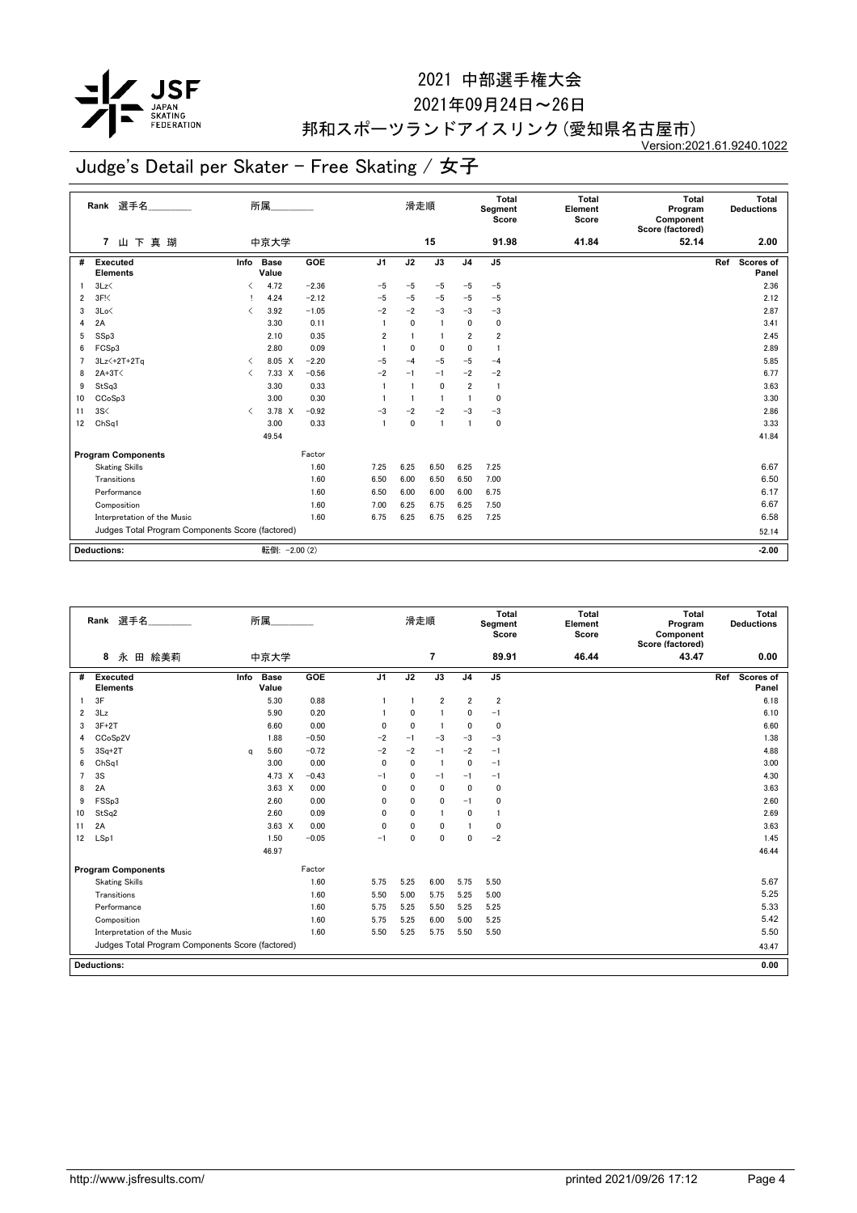

#### 2021年09月24日~26日

## 邦和スポーツランドアイスリンク(愛知県名古屋市)

Version:2021.61.9240.1022

|    | 選手名_________<br>Rank                             |                                          | 所属                   |         |                | 滑走順            |              |                | Total<br>Segment<br>Score | <b>Total</b><br>Element<br>Score | Total<br>Program<br>Component<br>Score (factored) | Total<br><b>Deductions</b> |
|----|--------------------------------------------------|------------------------------------------|----------------------|---------|----------------|----------------|--------------|----------------|---------------------------|----------------------------------|---------------------------------------------------|----------------------------|
|    | 山下真瑚<br>$\overline{7}$                           |                                          | 中京大学                 |         |                |                | 15           |                | 91.98                     | 41.84                            | 52.14                                             | 2.00                       |
| #  | <b>Executed</b><br><b>Elements</b>               | Info                                     | <b>Base</b><br>Value | GOE     | J <sub>1</sub> | J2             | J3           | J <sub>4</sub> | J <sub>5</sub>            |                                  |                                                   | Scores of<br>Ref<br>Panel  |
|    | 3Lz                                              | $\overline{\left\langle \right\rangle }$ | 4.72                 | $-2.36$ | $-5$           | $-5$           | $-5$         | $-5$           | $-5$                      |                                  |                                                   | 2.36                       |
| 2  | 3F <sub>1</sub>                                  |                                          | 4.24                 | $-2.12$ | $-5$           | $-5$           | $-5$         | $-5$           | $-5$                      |                                  |                                                   | 2.12                       |
| 3  | 3Lo<                                             | $\overline{\left( \right. }%$            | 3.92                 | $-1.05$ | $-2$           | $-2$           | $-3$         | $-3$           | $-3$                      |                                  |                                                   | 2.87                       |
| 4  | 2A                                               |                                          | 3.30                 | 0.11    | -1             | $\mathbf{0}$   | -1           | $\mathbf{0}$   | 0                         |                                  |                                                   | 3.41                       |
| 5  | SSp3                                             |                                          | 2.10                 | 0.35    | $\overline{2}$ |                | $\mathbf{1}$ | $\overline{2}$ | $\overline{2}$            |                                  |                                                   | 2.45                       |
| 6  | FCSp3                                            |                                          | 2.80                 | 0.09    | -1             | $\mathbf{0}$   | 0            | $\mathbf{0}$   | -1                        |                                  |                                                   | 2.89                       |
| 7  | $3Lz$ +2T+2Ta                                    | $\overline{\left\langle \right\rangle }$ | 8.05 X               | $-2.20$ | $-5$           | $-4$           | $-5$         | $-5$           | $-4$                      |                                  |                                                   | 5.85                       |
| 8  | $2A+3T<$                                         | $\langle$                                | $7.33 \times$        | $-0.56$ | $-2$           | $-1$           | $-1$         | $-2$           | $-2$                      |                                  |                                                   | 6.77                       |
| 9  | StSq3                                            |                                          | 3.30                 | 0.33    | $\overline{1}$ |                | 0            | $\overline{2}$ | $\overline{1}$            |                                  |                                                   | 3.63                       |
| 10 | CCoSp3                                           |                                          | 3.00                 | 0.30    |                | $\overline{1}$ | $\mathbf{1}$ | $\overline{1}$ | 0                         |                                  |                                                   | 3.30                       |
| 11 | 3S<                                              | $\overline{\left( \right. }%$            | 3.78 X               | $-0.92$ | $-3$           | $-2$           | $-2$         | $-3$           | $-3$                      |                                  |                                                   | 2.86                       |
| 12 | ChSq1                                            |                                          | 3.00                 | 0.33    | $\overline{1}$ | 0              | -1           | $\overline{1}$ | $\mathbf 0$               |                                  |                                                   | 3.33                       |
|    |                                                  |                                          | 49.54                |         |                |                |              |                |                           |                                  |                                                   | 41.84                      |
|    | <b>Program Components</b>                        |                                          |                      | Factor  |                |                |              |                |                           |                                  |                                                   |                            |
|    | <b>Skating Skills</b>                            |                                          |                      | 1.60    | 7.25           | 6.25           | 6.50         | 6.25           | 7.25                      |                                  |                                                   | 6.67                       |
|    | Transitions                                      |                                          |                      | 1.60    | 6.50           | 6.00           | 6.50         | 6.50           | 7.00                      |                                  |                                                   | 6.50                       |
|    | Performance                                      |                                          |                      | 1.60    | 6.50           | 6.00           | 6.00         | 6.00           | 6.75                      |                                  |                                                   | 6.17                       |
|    | Composition                                      |                                          |                      | 1.60    | 7.00           | 6.25           | 6.75         | 6.25           | 7.50                      |                                  |                                                   | 6.67                       |
|    | Interpretation of the Music                      |                                          |                      | 1.60    | 6.75           | 6.25           | 6.75         | 6.25           | 7.25                      |                                  |                                                   | 6.58                       |
|    | Judges Total Program Components Score (factored) |                                          |                      |         |                |                |              |                |                           | 52.14                            |                                                   |                            |
|    |                                                  |                                          |                      |         |                |                |              |                |                           |                                  |                                                   |                            |
|    | <b>Deductions:</b>                               |                                          | 転倒: - 2.00 (2)       |         |                |                |              |                |                           |                                  |                                                   | $-2.00$                    |

|                | 選手名<br>Rank                                      |          | 所属                   |            |                | 滑走順          |                |                | Total<br>Segment<br>Score | <b>Total</b><br>Element<br>Score | Total<br>Program<br>Component<br>Score (factored) | Total<br><b>Deductions</b> |
|----------------|--------------------------------------------------|----------|----------------------|------------|----------------|--------------|----------------|----------------|---------------------------|----------------------------------|---------------------------------------------------|----------------------------|
|                | 8<br>永<br>田 絵美莉                                  |          | 中京大学                 |            |                |              | 7              |                | 89.91                     | 46.44                            | 43.47                                             | 0.00                       |
| #              | <b>Executed</b><br><b>Elements</b>               | Info     | <b>Base</b><br>Value | <b>GOE</b> | J <sub>1</sub> | J2           | J3             | J <sub>4</sub> | J <sub>5</sub>            |                                  |                                                   | Scores of<br>Ref<br>Panel  |
|                | 3F                                               |          | 5.30                 | 0.88       |                | -1           | $\overline{2}$ | $\overline{2}$ | $\overline{2}$            |                                  |                                                   | 6.18                       |
| 2              | 3Lz                                              |          | 5.90                 | 0.20       |                | 0            | 1              | 0              | $-1$                      |                                  |                                                   | 6.10                       |
| 3              | $3F+2T$                                          |          | 6.60                 | 0.00       | 0              | $\mathbf{0}$ | -1             | $\mathbf{0}$   | 0                         |                                  |                                                   | 6.60                       |
| 4              | CCoSp2V                                          |          | 1.88                 | $-0.50$    | $-2$           | $-1$         | $-3$           | $-3$           | $-3$                      |                                  |                                                   | 1.38                       |
| 5              | $3Sq+2T$                                         | $\alpha$ | 5.60                 | $-0.72$    | $-2$           | $-2$         | $-1$           | $-2$           | $-1$                      |                                  |                                                   | 4.88                       |
| 6              | ChSq1                                            |          | 3.00                 | 0.00       | $\mathbf{0}$   | $\mathbf{0}$ | $\overline{1}$ | $\mathbf{0}$   | $-1$                      |                                  |                                                   | 3.00                       |
| $\overline{7}$ | 3S                                               |          | 4.73 X               | $-0.43$    | $-1$           | 0            | $-1$           | $-1$           | $-1$                      |                                  |                                                   | 4.30                       |
| 8              | 2A                                               |          | $3.63 \times$        | 0.00       | 0              | 0            | 0              | $\mathbf 0$    | $\mathbf 0$               |                                  |                                                   | 3.63                       |
| 9              | FSSp3                                            |          | 2.60                 | 0.00       | 0              | $\Omega$     | 0              | $-1$           | 0                         |                                  |                                                   | 2.60                       |
| 10             | StSq2                                            |          | 2.60                 | 0.09       | 0              | 0            | 1              | $\mathbf 0$    | $\mathbf{1}$              |                                  |                                                   | 2.69                       |
| 11             | 2A                                               |          | $3.63 \times$        | 0.00       | 0              | 0            | 0              |                | 0                         |                                  |                                                   | 3.63                       |
| 12             | LSp1                                             |          | 1.50                 | $-0.05$    | $-1$           | 0            | 0              | $\mathbf{0}$   | $-2$                      |                                  |                                                   | 1.45                       |
|                |                                                  |          | 46.97                |            |                |              |                |                |                           |                                  |                                                   | 46.44                      |
|                | <b>Program Components</b>                        |          |                      | Factor     |                |              |                |                |                           |                                  |                                                   |                            |
|                | <b>Skating Skills</b>                            |          |                      | 1.60       | 5.75           | 5.25         | 6.00           | 5.75           | 5.50                      |                                  |                                                   | 5.67                       |
|                | Transitions                                      |          |                      | 1.60       | 5.50           | 5.00         | 5.75           | 5.25           | 5.00                      |                                  |                                                   | 5.25                       |
|                | Performance                                      |          |                      | 1.60       | 5.75           | 5.25         | 5.50           | 5.25           | 5.25                      |                                  |                                                   | 5.33                       |
|                | Composition                                      |          |                      | 1.60       | 5.75           | 5.25         | 6.00           | 5.00           | 5.25                      |                                  |                                                   | 5.42                       |
|                | Interpretation of the Music                      |          |                      | 1.60       | 5.50           | 5.25         | 5.75           | 5.50           | 5.50                      |                                  |                                                   | 5.50                       |
|                | Judges Total Program Components Score (factored) |          |                      |            |                |              |                |                |                           |                                  |                                                   | 43.47                      |
|                | <b>Deductions:</b>                               |          |                      |            |                |              |                |                |                           |                                  |                                                   | 0.00                       |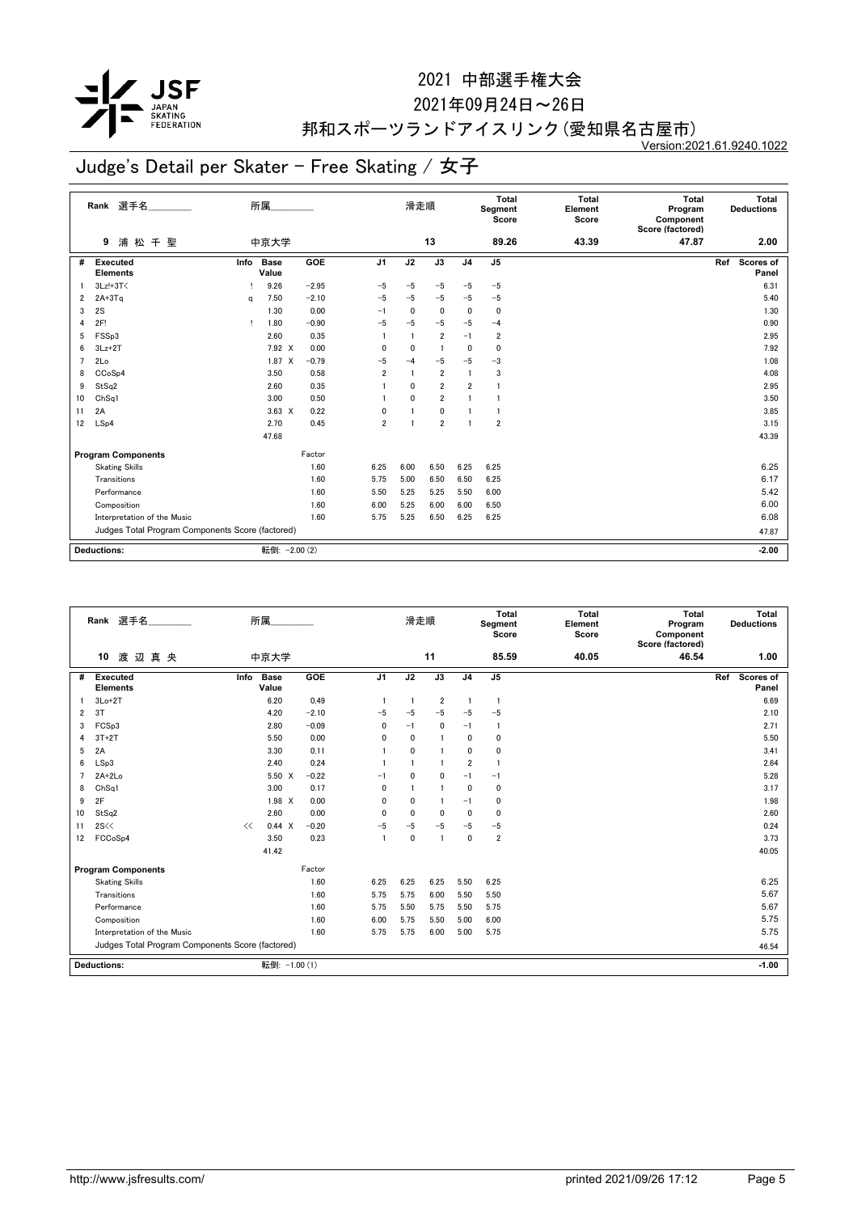

2021年09月24日~26日

## 邦和スポーツランドアイスリンク(愛知県名古屋市)

Version:2021.61.9240.1022

|    | Rank 選手名                                         |              | 所属                   |            |                | 滑走順            |                 |                         | Total<br>Segment<br>Score | <b>Total</b><br>Element<br>Score | <b>Total</b><br>Program<br>Component<br>Score (factored) | Total<br><b>Deductions</b> |
|----|--------------------------------------------------|--------------|----------------------|------------|----------------|----------------|-----------------|-------------------------|---------------------------|----------------------------------|----------------------------------------------------------|----------------------------|
|    | 浦松千聖<br>9                                        |              | 中京大学                 |            |                |                | 13              |                         | 89.26                     | 43.39                            | 47.87                                                    | 2.00                       |
| #  | Executed<br><b>Elements</b>                      | Info         | <b>Base</b><br>Value | <b>GOE</b> | J <sub>1</sub> | J2             | $\overline{J3}$ | J <sub>4</sub>          | J <sub>5</sub>            |                                  |                                                          | Scores of<br>Ref<br>Panel  |
|    | 3Lz!+3T<                                         |              | 9.26                 | $-2.95$    | $-5$           | $-5$           | $-5$            | $-5$                    | $-5$                      |                                  |                                                          | 6.31                       |
| 2  | $2A+3Tq$                                         | a            | 7.50                 | $-2.10$    | $-5$           | $-5$           | $-5$            | $-5$                    | $-5$                      |                                  |                                                          | 5.40                       |
| 3  | 2S                                               |              | 1.30                 | 0.00       | $-1$           | 0              | 0               | 0                       | $\mathbf 0$               |                                  |                                                          | 1.30                       |
| 4  | 2F!                                              | $\mathbf{I}$ | 1.80                 | $-0.90$    | $-5$           | $-5$           | $-5$            | $-5$                    | $-4$                      |                                  |                                                          | 0.90                       |
| 5  | FSSp3                                            |              | 2.60                 | 0.35       | $\mathbf{1}$   | $\overline{1}$ | $\overline{2}$  | $-1$                    | $\overline{\mathbf{2}}$   |                                  |                                                          | 2.95                       |
| 6  | $3Lz + 2T$                                       |              | 7.92 X               | 0.00       | 0              | $\mathbf{0}$   | $\blacksquare$  | $\mathbf{0}$            | $\mathbf 0$               |                                  |                                                          | 7.92                       |
| 7  | 2Lo                                              |              | $1.87 \t X$          | $-0.79$    | $-5$           | $-4$           | $-5$            | $-5$                    | $-3$                      |                                  |                                                          | 1.08                       |
| 8  | CCoSp4                                           |              | 3.50                 | 0.58       | $\overline{2}$ |                | $\overline{2}$  | $\overline{1}$          | 3                         |                                  |                                                          | 4.08                       |
| 9  | StSq2                                            |              | 2.60                 | 0.35       |                | $\mathbf{0}$   | $\overline{2}$  | $\overline{2}$          | $\overline{1}$            |                                  |                                                          | 2.95                       |
| 10 | ChSq1                                            |              | 3.00                 | 0.50       |                | $\mathbf{0}$   | $\overline{2}$  | $\overline{1}$          | $\mathbf{1}$              |                                  |                                                          | 3.50                       |
| 11 | 2A                                               |              | $3.63 \times$        | 0.22       | 0              |                | 0               | -1                      | $\mathbf{1}$              |                                  |                                                          | 3.85                       |
| 12 | LSp4                                             |              | 2.70                 | 0.45       | 2              | 1              | $\overline{2}$  | $\overline{\mathbf{1}}$ | $\overline{2}$            |                                  |                                                          | 3.15                       |
|    |                                                  |              | 47.68                |            |                |                |                 |                         |                           |                                  |                                                          | 43.39                      |
|    | <b>Program Components</b>                        |              |                      | Factor     |                |                |                 |                         |                           |                                  |                                                          |                            |
|    | <b>Skating Skills</b>                            |              |                      | 1.60       | 6.25           | 6.00           | 6.50            | 6.25                    | 6.25                      |                                  |                                                          | 6.25                       |
|    | Transitions                                      |              |                      | 1.60       | 5.75           | 5.00           | 6.50            | 6.50                    | 6.25                      |                                  |                                                          | 6.17                       |
|    | Performance                                      |              |                      | 1.60       | 5.50           | 5.25           | 5.25            | 5.50                    | 6.00                      |                                  |                                                          | 5.42                       |
|    | Composition                                      |              |                      | 1.60       | 6.00           | 5.25           | 6.00            | 6.00                    | 6.50                      |                                  |                                                          | 6.00                       |
|    | Interpretation of the Music                      |              |                      | 1.60       | 5.75           | 5.25           | 6.50            | 6.25                    | 6.25                      |                                  |                                                          | 6.08                       |
|    | Judges Total Program Components Score (factored) |              |                      |            |                |                |                 |                         |                           |                                  |                                                          | 47.87                      |
|    |                                                  |              |                      |            |                |                |                 |                         |                           |                                  |                                                          |                            |
|    | <b>Deductions:</b>                               |              | 転倒: - 2.00 (2)       |            |                |                |                 |                         |                           |                                  |                                                          | $-2.00$                    |

|                | 選手名<br>Rank                                      |      | 所属                   |         |                | 滑走順          |                |                | Total<br>Segment<br>Score | <b>Total</b><br>Element<br>Score | <b>Total</b><br>Program<br>Component<br>Score (factored) | Total<br><b>Deductions</b>       |
|----------------|--------------------------------------------------|------|----------------------|---------|----------------|--------------|----------------|----------------|---------------------------|----------------------------------|----------------------------------------------------------|----------------------------------|
|                | 渡辺真央<br>10                                       |      | 中京大学                 |         |                |              | 11             |                | 85.59                     | 40.05                            | 46.54                                                    | 1.00                             |
| #              | Executed<br><b>Elements</b>                      | Info | <b>Base</b><br>Value | GOE     | J <sub>1</sub> | J2           | J3             | J <sub>4</sub> | J <sub>5</sub>            |                                  |                                                          | <b>Scores of</b><br>Ref<br>Panel |
|                | $3Lo+2T$                                         |      | 6.20                 | 0.49    |                | $\mathbf{1}$ | $\overline{2}$ |                | $\overline{1}$            |                                  |                                                          | 6.69                             |
| $\overline{2}$ | 3T                                               |      | 4.20                 | $-2.10$ | $-5$           | $-5$         | $-5$           | $-5$           | $-5$                      |                                  |                                                          | 2.10                             |
| 3              | FCSp3                                            |      | 2.80                 | $-0.09$ | 0              | $-1$         | $\mathbf{0}$   | $-1$           | $\overline{1}$            |                                  |                                                          | 2.71                             |
| 4              | $3T+2T$                                          |      | 5.50                 | 0.00    | 0              | 0            |                | $\mathbf{0}$   | $\mathbf{0}$              |                                  |                                                          | 5.50                             |
| 5              | 2A                                               |      | 3.30                 | 0.11    |                | 0            |                | $\Omega$       | $\mathbf{0}$              |                                  |                                                          | 3.41                             |
| 6              | LSp3                                             |      | 2.40                 | 0.24    |                |              |                | $\overline{2}$ | $\mathbf{1}$              |                                  |                                                          | 2.64                             |
| $\overline{7}$ | $2A+2Lo$                                         |      | 5.50 X               | $-0.22$ | $-1$           | $\Omega$     | $\Omega$       | $-1$           | $-1$                      |                                  |                                                          | 5.28                             |
| 8              | ChSq1                                            |      | 3.00                 | 0.17    | 0              |              |                | $\mathbf{0}$   | $\mathbf 0$               |                                  |                                                          | 3.17                             |
| 9              | 2F                                               |      | 1.98 X               | 0.00    | 0              | 0            |                | $-1$           | 0                         |                                  |                                                          | 1.98                             |
| 10             | StSq2                                            |      | 2.60                 | 0.00    | 0              | 0            | $\mathbf{0}$   | $\mathbf{0}$   | $\mathbf 0$               |                                  |                                                          | 2.60                             |
| 11             | 2S<<                                             | <<   | 0.44 X               | $-0.20$ | $-5$           | $-5$         | $-5$           | $-5$           | $-5$                      |                                  |                                                          | 0.24                             |
| 12             | FCCoSp4                                          |      | 3.50                 | 0.23    |                | 0            |                | $\mathbf{0}$   | $\overline{2}$            |                                  |                                                          | 3.73                             |
|                |                                                  |      | 41.42                |         |                |              |                |                |                           |                                  |                                                          | 40.05                            |
|                | <b>Program Components</b>                        |      |                      | Factor  |                |              |                |                |                           |                                  |                                                          |                                  |
|                | <b>Skating Skills</b>                            |      |                      | 1.60    | 6.25           | 6.25         | 6.25           | 5.50           | 6.25                      |                                  |                                                          | 6.25                             |
|                | Transitions                                      |      |                      | 1.60    | 5.75           | 5.75         | 6.00           | 5.50           | 5.50                      |                                  |                                                          | 5.67                             |
|                | Performance                                      |      |                      | 1.60    | 5.75           | 5.50         | 5.75           | 5.50           | 5.75                      |                                  |                                                          | 5.67                             |
|                | Composition                                      |      |                      | 1.60    | 6.00           | 5.75         | 5.50           | 5.00           | 6.00                      |                                  |                                                          | 5.75                             |
|                | Interpretation of the Music                      |      |                      | 1.60    | 5.75           | 5.75         | 6.00           | 5.00           | 5.75                      |                                  |                                                          | 5.75                             |
|                | Judges Total Program Components Score (factored) |      |                      |         |                |              |                |                |                           |                                  | 46.54                                                    |                                  |
|                | <b>Deductions:</b>                               |      | 転倒: -1.00 (1)        |         |                |              |                |                |                           |                                  |                                                          | $-1.00$                          |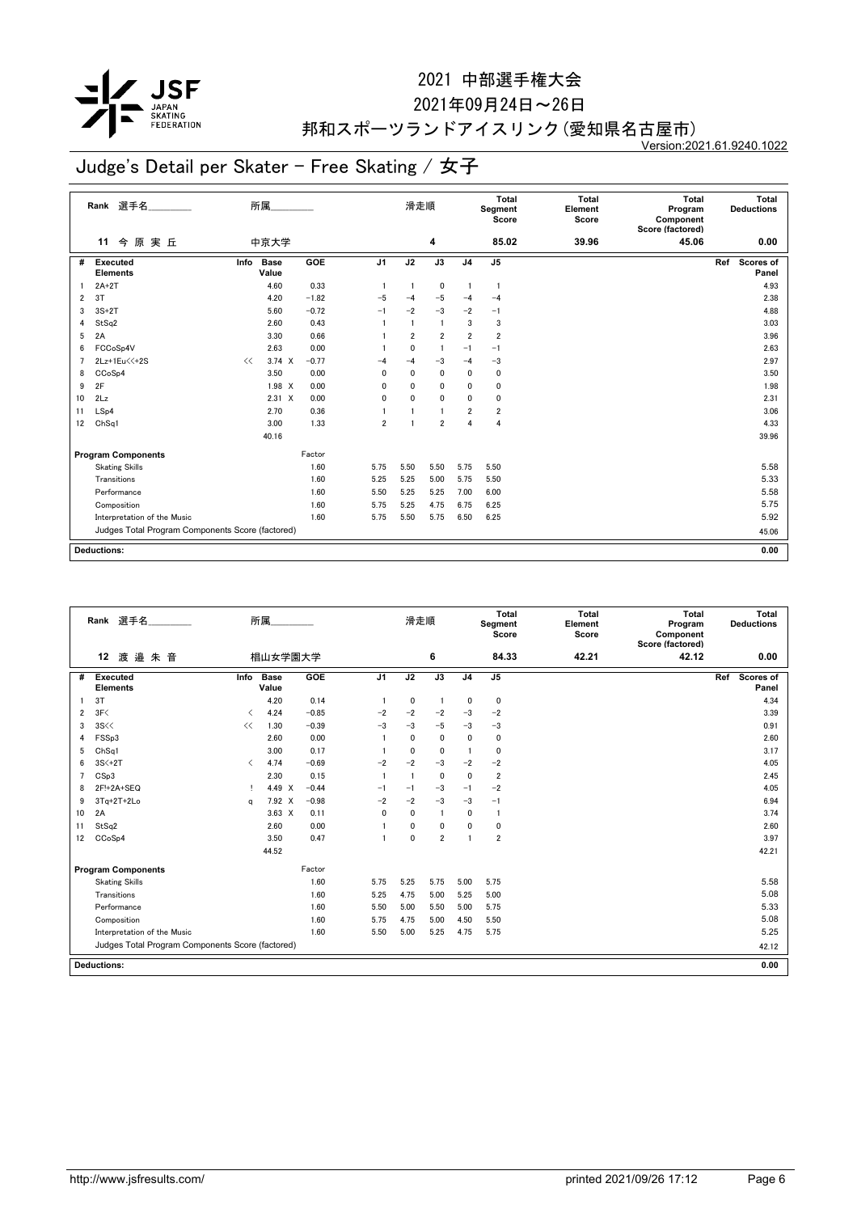

2021年09月24日~26日

## 邦和スポーツランドアイスリンク(愛知県名古屋市)

Version:2021.61.9240.1022

|    | Rank 選手名                                         |      | 所属                   |            |                | 滑走順            |                |                | <b>Total</b><br>Segment<br>Score | <b>Total</b><br>Element<br>Score | <b>Total</b><br>Program<br>Component<br>Score (factored) | <b>Total</b><br><b>Deductions</b> |
|----|--------------------------------------------------|------|----------------------|------------|----------------|----------------|----------------|----------------|----------------------------------|----------------------------------|----------------------------------------------------------|-----------------------------------|
|    | 今原実丘<br>11                                       |      | 中京大学                 |            |                |                | 4              |                | 85.02                            | 39.96                            | 45.06                                                    | 0.00                              |
| #  | <b>Executed</b><br><b>Elements</b>               | Info | <b>Base</b><br>Value | <b>GOE</b> | J <sub>1</sub> | J2             | J3             | J <sub>4</sub> | J <sub>5</sub>                   |                                  |                                                          | <b>Scores of</b><br>Ref<br>Panel  |
|    | $2A+2T$                                          |      | 4.60                 | 0.33       | $\overline{1}$ |                | 0              | $\overline{1}$ | $\mathbf{1}$                     |                                  |                                                          | 4.93                              |
| 2  | 3T                                               |      | 4.20                 | $-1.82$    | $-5$           | $-4$           | $-5$           | $-4$           | $-4$                             |                                  |                                                          | 2.38                              |
| 3  | $3S+2T$                                          |      | 5.60                 | $-0.72$    | $-1$           | $-2$           | $-3$           | $-2$           | $-1$                             |                                  |                                                          | 4.88                              |
| 4  | StSq2                                            |      | 2.60                 | 0.43       |                |                | $\overline{1}$ | 3              | 3                                |                                  |                                                          | 3.03                              |
| 5  | 2A                                               |      | 3.30                 | 0.66       |                | $\overline{2}$ | $\overline{2}$ | $\overline{2}$ | $\overline{2}$                   |                                  |                                                          | 3.96                              |
| 6  | FCCoSp4V                                         |      | 2.63                 | 0.00       |                | 0              | $\overline{1}$ | $-1$           | $-1$                             |                                  |                                                          | 2.63                              |
|    | 2Lz+1Eu<<+2S                                     | <<   | $3.74 \times$        | $-0.77$    | -4             | $-4$           | $-3$           | $-4$           | $-3$                             |                                  |                                                          | 2.97                              |
| 8  | CCoSp4                                           |      | 3.50                 | 0.00       | $\mathbf{0}$   | 0              | $\mathbf 0$    | $\mathbf 0$    | 0                                |                                  |                                                          | 3.50                              |
| 9  | 2F                                               |      | 1.98 X               | 0.00       | $\mathbf{0}$   | 0              | 0              | 0              | 0                                |                                  |                                                          | 1.98                              |
| 10 | 2Lz                                              |      | $2.31 \t X$          | 0.00       | $\mathbf{0}$   | $\mathbf{0}$   | $\mathbf{0}$   | $\mathbf{0}$   | $\mathbf 0$                      |                                  |                                                          | 2.31                              |
| 11 | LSp4                                             |      | 2.70                 | 0.36       |                |                | $\blacksquare$ | $\overline{2}$ | $\overline{2}$                   |                                  |                                                          | 3.06                              |
| 12 | Ch <sub>Sq1</sub>                                |      | 3.00                 | 1.33       | $\overline{2}$ |                | $\overline{2}$ | 4              | 4                                |                                  |                                                          | 4.33                              |
|    |                                                  |      | 40.16                |            |                |                |                |                |                                  |                                  |                                                          | 39.96                             |
|    | <b>Program Components</b>                        |      |                      | Factor     |                |                |                |                |                                  |                                  |                                                          |                                   |
|    | <b>Skating Skills</b>                            |      |                      | 1.60       | 5.75           | 5.50           | 5.50           | 5.75           | 5.50                             |                                  |                                                          | 5.58                              |
|    | Transitions                                      |      |                      | 1.60       | 5.25           | 5.25           | 5.00           | 5.75           | 5.50                             |                                  |                                                          | 5.33                              |
|    | Performance                                      |      |                      | 1.60       | 5.50           | 5.25           | 5.25           | 7.00           | 6.00                             |                                  |                                                          | 5.58                              |
|    | Composition                                      |      |                      | 1.60       | 5.75           | 5.25           | 4.75           | 6.75           | 6.25                             |                                  |                                                          | 5.75                              |
|    | Interpretation of the Music                      |      |                      | 1.60       | 5.75           | 5.50           | 5.75           | 6.50           | 6.25                             |                                  |                                                          | 5.92                              |
|    | Judges Total Program Components Score (factored) |      |                      |            |                |                |                |                |                                  |                                  |                                                          | 45.06                             |
|    |                                                  |      |                      |            |                |                |                |                |                                  |                                  |                                                          |                                   |
|    | <b>Deductions:</b>                               |      |                      |            |                |                |                |                |                                  |                                  |                                                          | 0.00                              |

|    | 選手名<br>Rank                                      |                               | 所属                   |         |                | 滑走順          |                |                | <b>Total</b><br>Segment<br>Score | Total<br>Element<br>Score | <b>Total</b><br>Program<br>Component<br>Score (factored) | Total<br><b>Deductions</b> |
|----|--------------------------------------------------|-------------------------------|----------------------|---------|----------------|--------------|----------------|----------------|----------------------------------|---------------------------|----------------------------------------------------------|----------------------------|
|    | 渡邉朱音<br>12                                       |                               | 椙山女学園大学              |         |                |              | 6              |                | 84.33                            | 42.21                     | 42.12                                                    | 0.00                       |
| #  | Executed<br><b>Elements</b>                      | Info                          | <b>Base</b><br>Value | GOE     | J <sub>1</sub> | J2           | J3             | J <sub>4</sub> | J <sub>5</sub>                   |                           |                                                          | Scores of<br>Ref<br>Panel  |
|    | 3T                                               |                               | 4.20                 | 0.14    |                | $\mathbf 0$  |                | $\mathbf{0}$   | $\pmb{0}$                        |                           |                                                          | 4.34                       |
| 2  | 3F<                                              | $\overline{\left( \right. }%$ | 4.24                 | $-0.85$ | $-2$           | $-2$         | $-2$           | $-3$           | $-2$                             |                           |                                                          | 3.39                       |
| 3  | 3S <                                             | <<                            | 1.30                 | $-0.39$ | $-3$           | $-3$         | $-5$           | $-3$           | $-3$                             |                           |                                                          | 0.91                       |
| 4  | FSSp3                                            |                               | 2.60                 | 0.00    |                | $\mathbf{0}$ | $\mathbf 0$    | $\mathbf{0}$   | 0                                |                           |                                                          | 2.60                       |
| 5  | ChSq1                                            |                               | 3.00                 | 0.17    |                | $\mathbf{0}$ | $\mathbf{0}$   | $\overline{1}$ | 0                                |                           |                                                          | 3.17                       |
| 6  | 3S<+2T                                           | $\langle$                     | 4.74                 | $-0.69$ | $-2$           | $-2$         | -3             | $-2$           | $-2$                             |                           |                                                          | 4.05                       |
| 7  | CSp3                                             |                               | 2.30                 | 0.15    |                | 1            | $\mathbf 0$    | $\mathbf{0}$   | $\overline{\mathbf{2}}$          |                           |                                                          | 2.45                       |
| 8  | 2F!+2A+SEQ                                       | т.                            | 4.49 X               | $-0.44$ | $-1$           | $-1$         | $-3$           | $-1$           | $-2$                             |                           |                                                          | 4.05                       |
| 9  | $3Tq+2T+2Lo$                                     | a                             | 7.92 X               | $-0.98$ | $-2$           | $-2$         | $-3$           | $-3$           | $-1$                             |                           |                                                          | 6.94                       |
| 10 | 2A                                               |                               | $3.63 \times$        | 0.11    | 0              | $\mathbf{0}$ | -1             | $\mathbf{0}$   | $\overline{1}$                   |                           |                                                          | 3.74                       |
| 11 | StSq2                                            |                               | 2.60                 | 0.00    |                | 0            | $\mathbf{0}$   | $\Omega$       | 0                                |                           |                                                          | 2.60                       |
| 12 | CCoSp4                                           |                               | 3.50                 | 0.47    |                | 0            | $\overline{2}$ | 1              | $\overline{2}$                   |                           |                                                          | 3.97                       |
|    |                                                  |                               | 44.52                |         |                |              |                |                |                                  |                           |                                                          | 42.21                      |
|    | <b>Program Components</b>                        |                               |                      | Factor  |                |              |                |                |                                  |                           |                                                          |                            |
|    | <b>Skating Skills</b>                            |                               |                      | 1.60    | 5.75           | 5.25         | 5.75           | 5.00           | 5.75                             |                           |                                                          | 5.58                       |
|    | Transitions                                      |                               |                      | 1.60    | 5.25           | 4.75         | 5.00           | 5.25           | 5.00                             |                           |                                                          | 5.08                       |
|    | Performance                                      |                               |                      | 1.60    | 5.50           | 5.00         | 5.50           | 5.00           | 5.75                             |                           |                                                          | 5.33                       |
|    | Composition                                      |                               |                      | 1.60    | 5.75           | 4.75         | 5.00           | 4.50           | 5.50                             |                           |                                                          | 5.08                       |
|    | Interpretation of the Music                      |                               |                      | 1.60    | 5.50           | 5.00         | 5.25           | 4.75           | 5.75                             |                           |                                                          | 5.25                       |
|    | Judges Total Program Components Score (factored) |                               |                      |         |                |              |                |                |                                  |                           |                                                          | 42.12                      |
|    | Deductions:                                      |                               |                      |         |                |              |                |                |                                  |                           |                                                          | 0.00                       |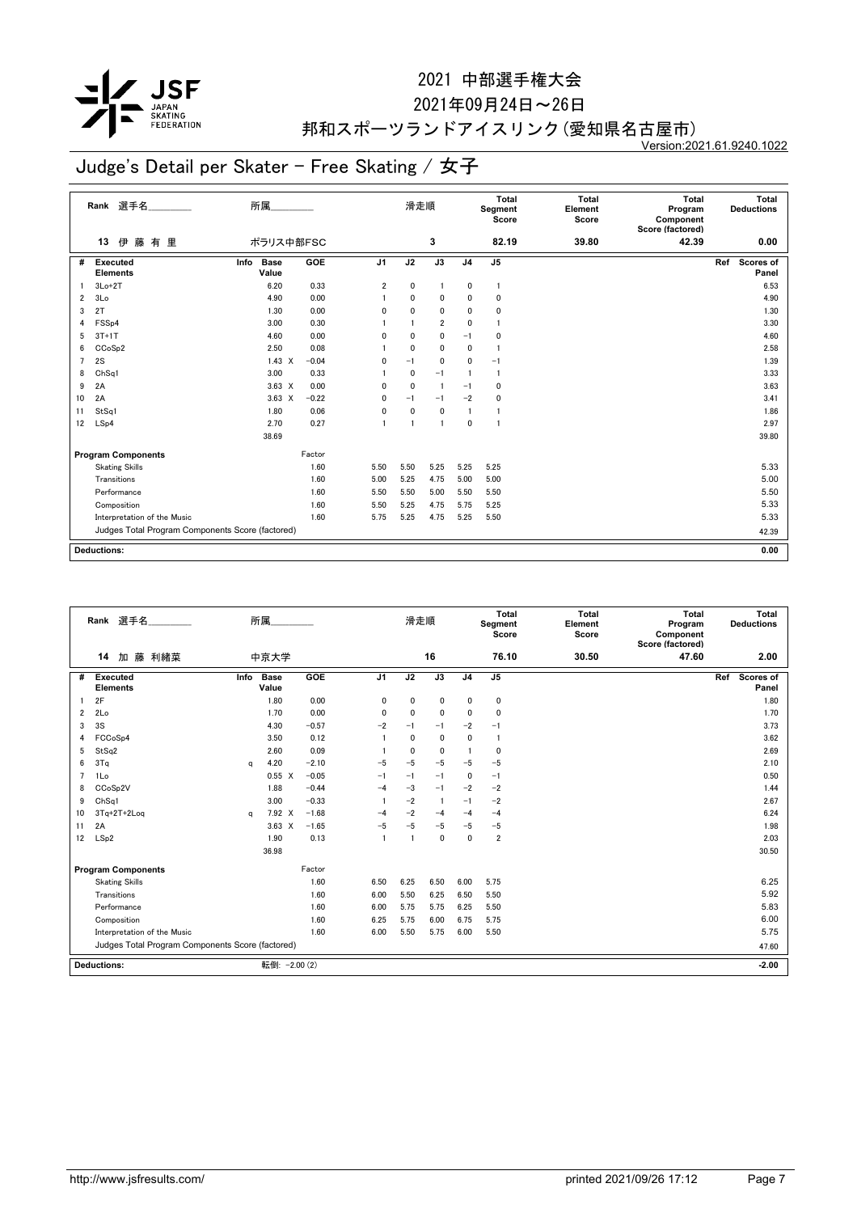

#### 2021年09月24日~26日

## 邦和スポーツランドアイスリンク(愛知県名古屋市)

Version:2021.61.9240.1022

|                | Rank 選手名                                         | 所属                           |         |                | 滑走順            |                 |                | Total<br>Segment<br>Score | <b>Total</b><br>Element<br>Score | <b>Total</b><br>Program<br>Component<br>Score (factored) | Total<br><b>Deductions</b> |
|----------------|--------------------------------------------------|------------------------------|---------|----------------|----------------|-----------------|----------------|---------------------------|----------------------------------|----------------------------------------------------------|----------------------------|
|                | 伊<br>藤有里<br>13                                   | ポラリス中部FSC                    |         |                |                | 3               |                | 82.19                     | 39.80                            | 42.39                                                    | 0.00                       |
| #              | Executed<br><b>Elements</b>                      | <b>Base</b><br>Info<br>Value | GOE     | J <sub>1</sub> | J <sub>2</sub> | $\overline{J3}$ | J <sub>4</sub> | J <sub>5</sub>            |                                  |                                                          | Scores of<br>Ref<br>Panel  |
| -1             | $3Lo+2T$                                         | 6.20                         | 0.33    | $\overline{2}$ | $\mathbf 0$    | $\overline{1}$  | 0              | $\mathbf{1}$              |                                  |                                                          | 6.53                       |
| 2              | 3Lo                                              | 4.90                         | 0.00    |                | 0              | 0               | 0              | 0                         |                                  |                                                          | 4.90                       |
| 3              | 2T                                               | 1.30                         | 0.00    | 0              | 0              | 0               | 0              | 0                         |                                  |                                                          | 1.30                       |
| 4              | FSS <sub>p4</sub>                                | 3.00                         | 0.30    |                |                | $\overline{2}$  | 0              |                           |                                  |                                                          | 3.30                       |
| 5              | $3T+1T$                                          | 4.60                         | 0.00    | 0              | $\mathbf{0}$   | 0               | $-1$           | 0                         |                                  |                                                          | 4.60                       |
| 6              | CCoSp2                                           | 2.50                         | 0.08    |                | $\mathbf{0}$   | 0               | 0              | -1                        |                                  |                                                          | 2.58                       |
| $\overline{7}$ | 2S                                               | $1.43 \times$                | $-0.04$ | 0              | $-1$           | $\mathbf{0}$    | 0              | $-1$                      |                                  |                                                          | 1.39                       |
| 8              | ChSq1                                            | 3.00                         | 0.33    |                | $\mathbf{0}$   | $-1$            | $\mathbf{1}$   | $\mathbf{1}$              |                                  |                                                          | 3.33                       |
| 9              | 2A                                               | $3.63 \times$                | 0.00    | $\mathbf{0}$   | $\mathbf{0}$   | $\overline{1}$  | $-1$           | 0                         |                                  |                                                          | 3.63                       |
| 10             | 2A                                               | $3.63 \times$                | $-0.22$ | 0              | $-1$           | $-1$            | $-2$           | 0                         |                                  |                                                          | 3.41                       |
| 11             | StSq1                                            | 1.80                         | 0.06    | $\mathbf{0}$   | $\mathbf{0}$   | $\mathbf 0$     | $\mathbf{1}$   |                           |                                  |                                                          | 1.86                       |
| 12             | LSp4                                             | 2.70                         | 0.27    | 1              |                | $\blacksquare$  | $\mathbf 0$    |                           |                                  |                                                          | 2.97                       |
|                |                                                  | 38.69                        |         |                |                |                 |                |                           |                                  |                                                          | 39.80                      |
|                | <b>Program Components</b>                        |                              | Factor  |                |                |                 |                |                           |                                  |                                                          |                            |
|                | <b>Skating Skills</b>                            |                              | 1.60    | 5.50           | 5.50           | 5.25            | 5.25           | 5.25                      |                                  |                                                          | 5.33                       |
|                | Transitions                                      |                              | 1.60    | 5.00           | 5.25           | 4.75            | 5.00           | 5.00                      |                                  |                                                          | 5.00                       |
|                | Performance                                      |                              | 1.60    | 5.50           | 5.50           | 5.00            | 5.50           | 5.50                      |                                  |                                                          | 5.50                       |
|                | Composition                                      |                              | 1.60    | 5.50           | 5.25           | 4.75            | 5.75           | 5.25                      |                                  |                                                          | 5.33                       |
|                | Interpretation of the Music                      |                              | 1.60    | 5.75           | 5.25           | 4.75            | 5.25           | 5.50                      |                                  |                                                          | 5.33                       |
|                | Judges Total Program Components Score (factored) |                              |         |                |                |                 |                |                           |                                  |                                                          | 42.39                      |
|                |                                                  |                              |         |                |                |                 |                |                           |                                  |                                                          |                            |
|                | <b>Deductions:</b>                               |                              |         |                |                |                 |                |                           |                                  |                                                          | 0.00                       |

|                | 所属<br>Rank 選手名                                   |      |                      |            |                | 滑走順  |              | Total<br>Segment<br>Score |                | <b>Total</b><br>Element<br>Score | Total<br>Program<br>Component<br>Score (factored) | Total<br><b>Deductions</b> |
|----------------|--------------------------------------------------|------|----------------------|------------|----------------|------|--------------|---------------------------|----------------|----------------------------------|---------------------------------------------------|----------------------------|
|                | 14<br>加 藤 利緒菜                                    |      | 中京大学                 |            |                |      | 16           |                           | 76.10          | 30.50                            | 47.60                                             | 2.00                       |
| #              | Executed<br><b>Elements</b>                      | Info | <b>Base</b><br>Value | <b>GOE</b> | J <sub>1</sub> | J2   | J3           | J <sub>4</sub>            | J <sub>5</sub> |                                  |                                                   | Scores of<br>Ref<br>Panel  |
|                | 2F                                               |      | 1.80                 | 0.00       | 0              | 0    | 0            | $\mathbf{0}$              | 0              |                                  |                                                   | 1.80                       |
| 2              | 2Lo                                              |      | 1.70                 | 0.00       | 0              | 0    | 0            | 0                         | $\mathbf 0$    |                                  |                                                   | 1.70                       |
| 3              | 3S                                               |      | 4.30                 | $-0.57$    | $-2$           | $-1$ | $-1$         | $-2$                      | $-1$           |                                  |                                                   | 3.73                       |
| 4              | FCCoSp4                                          |      | 3.50                 | 0.12       |                | 0    | 0            | $\mathbf{0}$              | $\mathbf{1}$   |                                  |                                                   | 3.62                       |
| 5              | StSq2                                            |      | 2.60                 | 0.09       |                | 0    | 0            |                           | 0              |                                  |                                                   | 2.69                       |
| 6              | 3Tq                                              | a    | 4.20                 | $-2.10$    | $-5$           | $-5$ | $-5$         | $-5$                      | $-5$           |                                  |                                                   | 2.10                       |
| $\overline{7}$ | 1Lo                                              |      | $0.55 \quad X$       | $-0.05$    | $-1$           | $-1$ | $-1$         | $\mathbf{0}$              | $-1$           |                                  |                                                   | 0.50                       |
| 8              | CCoSp2V                                          |      | 1.88                 | $-0.44$    | $-4$           | $-3$ | $-1$         | $-2$                      | $-2$           |                                  |                                                   | 1.44                       |
| 9              | ChSq1                                            |      | 3.00                 | $-0.33$    | 1              | $-2$ | -1           | $-1$                      | $-2$           |                                  |                                                   | 2.67                       |
| 10             | $3Tq+2T+2Log$                                    | a    | 7.92 X               | $-1.68$    | $-4$           | $-2$ | $-4$         | $-4$                      | $-4$           |                                  |                                                   | 6.24                       |
| 11             | 2A                                               |      | $3.63 \times$        | $-1.65$    | $-5$           | $-5$ | $-5$         | $-5$                      | $-5$           |                                  |                                                   | 1.98                       |
| 12             | LSp2                                             |      | 1.90                 | 0.13       | $\mathbf{1}$   | -1   | $\mathbf{0}$ | $\mathbf{0}$              | $\overline{2}$ |                                  |                                                   | 2.03                       |
|                |                                                  |      | 36.98                |            |                |      |              |                           |                |                                  |                                                   | 30.50                      |
|                | <b>Program Components</b>                        |      |                      | Factor     |                |      |              |                           |                |                                  |                                                   |                            |
|                | <b>Skating Skills</b>                            |      |                      | 1.60       | 6.50           | 6.25 | 6.50         | 6.00                      | 5.75           |                                  |                                                   | 6.25                       |
|                | Transitions                                      |      |                      | 1.60       | 6.00           | 5.50 | 6.25         | 6.50                      | 5.50           |                                  |                                                   | 5.92                       |
|                | Performance                                      |      |                      | 1.60       | 6.00           | 5.75 | 5.75         | 6.25                      | 5.50           |                                  |                                                   | 5.83                       |
|                | Composition                                      |      |                      | 1.60       | 6.25           | 5.75 | 6.00         | 6.75                      | 5.75           |                                  |                                                   | 6.00                       |
|                | Interpretation of the Music                      |      |                      | 1.60       | 6.00           | 5.50 | 5.75         | 6.00                      | 5.50           |                                  |                                                   | 5.75                       |
|                | Judges Total Program Components Score (factored) |      |                      |            |                |      |              |                           |                |                                  |                                                   | 47.60                      |
|                | <b>Deductions:</b>                               |      | 転倒: - 2.00 (2)       |            |                |      |              |                           |                |                                  |                                                   | $-2.00$                    |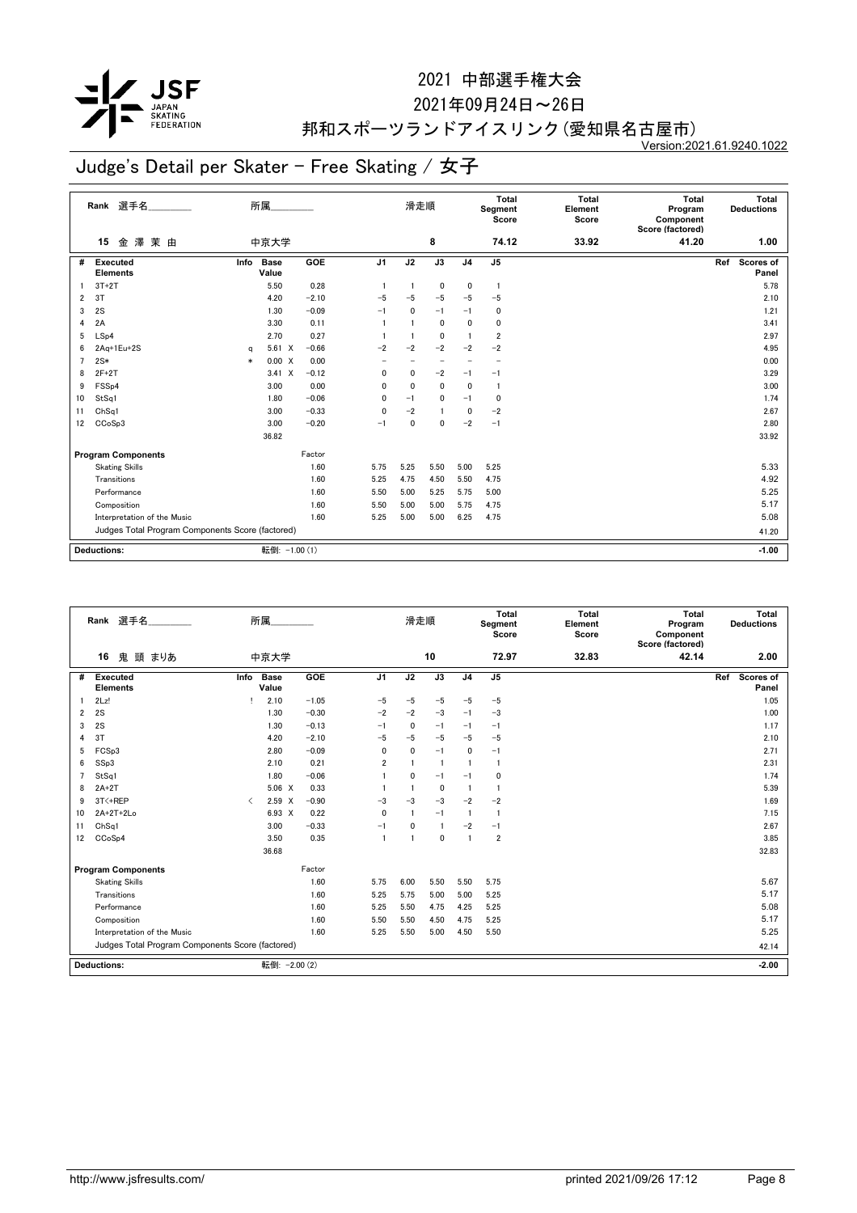

2021年09月24日~26日

## 邦和スポーツランドアイスリンク(愛知県名古屋市)

Version:2021.61.9240.1022

|                | Rank 選手名________<br>所属                           |        |                      |            |                | 滑走順          |                          |                          | Total<br>Segment<br>Score | <b>Total</b><br>Element<br>Score | <b>Total</b><br>Program<br>Component<br>Score (factored) | Total<br><b>Deductions</b> |
|----------------|--------------------------------------------------|--------|----------------------|------------|----------------|--------------|--------------------------|--------------------------|---------------------------|----------------------------------|----------------------------------------------------------|----------------------------|
|                | 金澤茉由<br>15                                       |        | 中京大学                 |            |                |              | 8                        |                          | 74.12                     | 33.92                            | 41.20                                                    | 1.00                       |
| #              | Executed<br><b>Elements</b>                      | Info   | <b>Base</b><br>Value | <b>GOE</b> | J <sub>1</sub> | J2           | $\overline{J3}$          | J <sub>4</sub>           | J <sub>5</sub>            |                                  |                                                          | Scores of<br>Ref<br>Panel  |
|                | $3T+2T$                                          |        | 5.50                 | 0.28       |                |              | 0                        | 0                        | $\overline{1}$            |                                  |                                                          | 5.78                       |
| $\overline{2}$ | 3T                                               |        | 4.20                 | $-2.10$    | $-5$           | $-5$         | $-5$                     | $-5$                     | $-5$                      |                                  |                                                          | 2.10                       |
| 3              | 2S                                               |        | 1.30                 | $-0.09$    | $-1$           | $\mathbf{0}$ | $-1$                     | $-1$                     | $\mathbf 0$               |                                  |                                                          | 1.21                       |
| 4              | 2A                                               |        | 3.30                 | 0.11       | $\mathbf{1}$   |              | 0                        | $\mathbf 0$              | $\mathbf 0$               |                                  |                                                          | 3.41                       |
| 5              | LSp4                                             |        | 2.70                 | 0.27       | -1             |              | 0                        | $\overline{1}$           | $\overline{2}$            |                                  |                                                          | 2.97                       |
| 6              | $2Aq+1Eu+2S$                                     | a      | $5.61 \t X$          | $-0.66$    | $-2$           | $-2$         | $-2$                     | $-2$                     | $-2$                      |                                  |                                                          | 4.95                       |
| $\overline{7}$ | $2S*$                                            | $\ast$ | 0.00 X               | 0.00       |                |              | $\overline{\phantom{0}}$ | $\overline{\phantom{0}}$ | $\overline{\phantom{0}}$  |                                  |                                                          | 0.00                       |
| 8              | $2F+2T$                                          |        | $3.41 \times$        | $-0.12$    | 0              | 0            | $-2$                     | $-1$                     | $-1$                      |                                  |                                                          | 3.29                       |
| 9              | FSS <sub>p4</sub>                                |        | 3.00                 | 0.00       | 0              | $\mathbf{0}$ | 0                        | $\mathbf 0$              | $\overline{1}$            |                                  |                                                          | 3.00                       |
| 10             | StSq1                                            |        | 1.80                 | $-0.06$    | 0              | $-1$         | 0                        | $-1$                     | $\mathbf 0$               |                                  |                                                          | 1.74                       |
| 11             | ChSq1                                            |        | 3.00                 | $-0.33$    | 0              | $-2$         | -1                       | 0                        | $-2$                      |                                  |                                                          | 2.67                       |
| 12             | CCoSp3                                           |        | 3.00                 | $-0.20$    | $-1$           | $\mathbf{0}$ | $\mathbf{0}$             | $-2$                     | $-1$                      |                                  |                                                          | 2.80                       |
|                |                                                  |        | 36.82                |            |                |              |                          |                          |                           |                                  |                                                          | 33.92                      |
|                | <b>Program Components</b>                        |        |                      | Factor     |                |              |                          |                          |                           |                                  |                                                          |                            |
|                | <b>Skating Skills</b>                            |        |                      | 1.60       | 5.75           | 5.25         | 5.50                     | 5.00                     | 5.25                      |                                  |                                                          | 5.33                       |
|                | Transitions                                      |        |                      | 1.60       | 5.25           | 4.75         | 4.50                     | 5.50                     | 4.75                      |                                  |                                                          | 4.92                       |
|                | Performance                                      |        |                      | 1.60       | 5.50           | 5.00         | 5.25                     | 5.75                     | 5.00                      |                                  |                                                          | 5.25                       |
|                | Composition                                      |        |                      | 1.60       | 5.50           | 5.00         | 5.00                     | 5.75                     | 4.75                      |                                  |                                                          | 5.17                       |
|                | Interpretation of the Music                      |        |                      | 1.60       | 5.25           | 5.00         | 5.00                     | 6.25                     | 4.75                      |                                  |                                                          | 5.08                       |
|                | Judges Total Program Components Score (factored) |        |                      |            |                |              |                          |                          |                           |                                  |                                                          | 41.20                      |
|                |                                                  |        |                      |            |                |              |                          |                          |                           |                                  |                                                          |                            |
|                | <b>Deductions:</b>                               |        | 転倒: -1.00 (1)        |            |                |              |                          |                          |                           |                                  |                                                          | $-1.00$                    |

|                | 選手名<br>Rank                                      |                               | 所属                   |         |                | 滑走順          |                |                | <b>Total</b><br>Segment<br>Score | <b>Total</b><br>Element<br>Score | <b>Total</b><br>Program<br>Component<br>Score (factored) | Total<br><b>Deductions</b> |
|----------------|--------------------------------------------------|-------------------------------|----------------------|---------|----------------|--------------|----------------|----------------|----------------------------------|----------------------------------|----------------------------------------------------------|----------------------------|
|                | 16<br>鬼<br>頭 まりあ                                 |                               | 中京大学                 |         |                |              | 10             |                | 72.97                            | 32.83                            | 42.14                                                    | 2.00                       |
| #              | Executed<br><b>Elements</b>                      | Info                          | <b>Base</b><br>Value | GOE     | J <sub>1</sub> | J2           | J3             | J <sub>4</sub> | J <sub>5</sub>                   |                                  |                                                          | Ref<br>Scores of<br>Panel  |
|                | 2Lz!                                             |                               | 2.10                 | $-1.05$ | $-5$           | $-5$         | $-5$           | $-5$           | $-5$                             |                                  |                                                          | 1.05                       |
| $\overline{2}$ | 2S                                               |                               | 1.30                 | $-0.30$ | $-2$           | $-2$         | $-3$           | $-1$           | $-3$                             |                                  |                                                          | 1.00                       |
| 3              | 2S                                               |                               | 1.30                 | $-0.13$ | $-1$           | $\mathbf{0}$ | $-1$           | $-1$           | $-1$                             |                                  |                                                          | 1.17                       |
| 4              | 3T                                               |                               | 4.20                 | $-2.10$ | $-5$           | $-5$         | $-5$           | $-5$           | $-5$                             |                                  |                                                          | 2.10                       |
| 5              | FCSp3                                            |                               | 2.80                 | $-0.09$ | 0              | $\Omega$     | $-1$           | $\mathbf 0$    | $-1$                             |                                  |                                                          | 2.71                       |
| 6              | SSp3                                             |                               | 2.10                 | 0.21    | $\overline{2}$ |              | $\overline{1}$ | -1             | $\mathbf{1}$                     |                                  |                                                          | 2.31                       |
| $\overline{7}$ | StSq1                                            |                               | 1.80                 | $-0.06$ | -1             | $\mathbf{0}$ | $-1$           | $-1$           | $\mathbf 0$                      |                                  |                                                          | 1.74                       |
| 8              | $2A+2T$                                          |                               | $5.06 \t X$          | 0.33    |                |              | 0              | $\overline{1}$ | $\mathbf{1}$                     |                                  |                                                          | 5.39                       |
| 9              | 3T<+REP                                          | $\overline{\left( \right. }%$ | $2.59$ X             | $-0.90$ | $-3$           | $-3$         | $-3$           | $-2$           | $-2$                             |                                  |                                                          | 1.69                       |
| 10             | 2A+2T+2Lo                                        |                               | 6.93 X               | 0.22    | 0              |              | $-1$           | $\overline{1}$ | $\mathbf{1}$                     |                                  |                                                          | 7.15                       |
| 11             | Ch <sub>Sq1</sub>                                |                               | 3.00                 | $-0.33$ | $-1$           | $\mathbf{0}$ | -1             | $-2$           | $-1$                             |                                  |                                                          | 2.67                       |
| 12             | CCoSp4                                           |                               | 3.50                 | 0.35    | $\overline{1}$ |              | 0              | $\overline{1}$ | $\overline{2}$                   |                                  |                                                          | 3.85                       |
|                |                                                  |                               | 36.68                |         |                |              |                |                |                                  |                                  |                                                          | 32.83                      |
|                | <b>Program Components</b>                        |                               |                      | Factor  |                |              |                |                |                                  |                                  |                                                          |                            |
|                | <b>Skating Skills</b>                            |                               |                      | 1.60    | 5.75           | 6.00         | 5.50           | 5.50           | 5.75                             |                                  |                                                          | 5.67                       |
|                | Transitions                                      |                               |                      | 1.60    | 5.25           | 5.75         | 5.00           | 5.00           | 5.25                             |                                  |                                                          | 5.17                       |
|                | Performance                                      |                               |                      | 1.60    | 5.25           | 5.50         | 4.75           | 4.25           | 5.25                             |                                  |                                                          | 5.08                       |
|                | Composition                                      |                               |                      | 1.60    | 5.50           | 5.50         | 4.50           | 4.75           | 5.25                             |                                  |                                                          | 5.17                       |
|                | Interpretation of the Music                      |                               |                      | 1.60    | 5.25           | 5.50         | 5.00           | 4.50           | 5.50                             |                                  |                                                          | 5.25                       |
|                | Judges Total Program Components Score (factored) |                               |                      |         |                |              |                |                |                                  |                                  |                                                          | 42.14                      |
|                | <b>Deductions:</b>                               |                               | 転倒: -2.00 (2)        |         |                |              |                |                |                                  |                                  |                                                          | $-2.00$                    |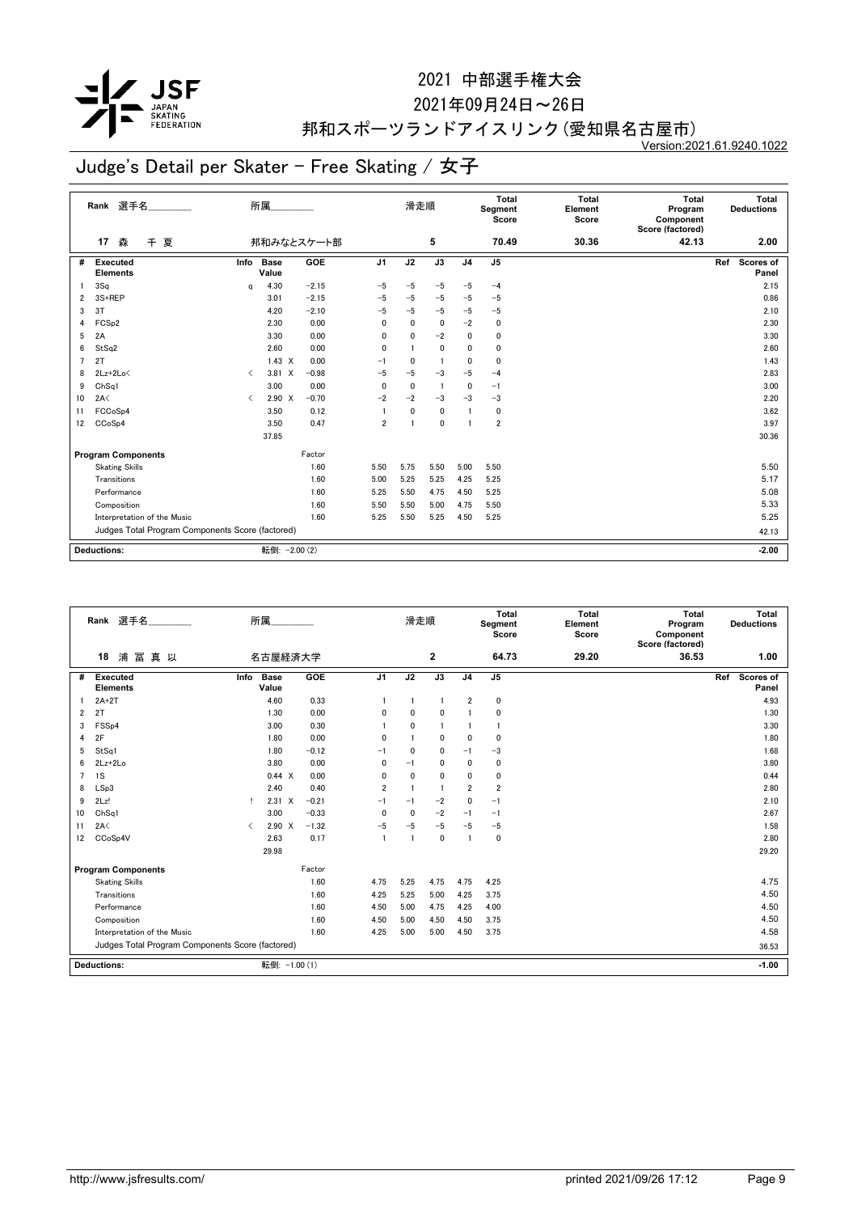

2021年09月24日~26日

## 邦和スポーツランドアイスリンク(愛知県名古屋市)

Version:2021.61.9240.1022

|    | Rank 選手名<br>所属                                   |           |                      |            |                | 滑走順          |                 |                         | <b>Total</b><br>Segment<br>Score | <b>Total</b><br>Element<br>Score | <b>Total</b><br>Program<br>Component<br>Score (factored) | Total<br><b>Deductions</b> |
|----|--------------------------------------------------|-----------|----------------------|------------|----------------|--------------|-----------------|-------------------------|----------------------------------|----------------------------------|----------------------------------------------------------|----------------------------|
|    | 森<br>夏<br>$\pm$<br>17                            |           |                      | 邦和みなとスケート部 |                |              | 5               |                         | 70.49                            | 30.36                            | 42.13                                                    | 2.00                       |
| #  | <b>Executed</b><br><b>Elements</b>               | Info      | <b>Base</b><br>Value | <b>GOE</b> | J <sub>1</sub> | J2           | $\overline{J3}$ | J <sub>4</sub>          | J <sub>5</sub>                   |                                  |                                                          | Scores of<br>Ref<br>Panel  |
|    | 3Sq                                              | q         | 4.30                 | $-2.15$    | $-5$           | $-5$         | $-5$            | $-5$                    | $-4$                             |                                  |                                                          | 2.15                       |
| 2  | 3S+REP                                           |           | 3.01                 | $-2.15$    | $-5$           | $-5$         | $-5$            | $-5$                    | $-5$                             |                                  |                                                          | 0.86                       |
| 3  | 3T                                               |           | 4.20                 | $-2.10$    | $-5$           | $-5$         | $-5$            | $-5$                    | $-5$                             |                                  |                                                          | 2.10                       |
| 4  | FCS <sub>p2</sub>                                |           | 2.30                 | 0.00       | 0              | $\mathbf{0}$ | 0               | $-2$                    | 0                                |                                  |                                                          | 2.30                       |
| 5  | 2A                                               |           | 3.30                 | 0.00       | 0              | $\mathbf{0}$ | $-2$            | 0                       | $\mathbf 0$                      |                                  |                                                          | 3.30                       |
| 6  | StSq2                                            |           | 2.60                 | 0.00       | 0              |              | 0               | $\mathbf{0}$            | $\mathbf 0$                      |                                  |                                                          | 2.60                       |
| 7  | 2T                                               |           | $1.43 \times$        | 0.00       | $-1$           | 0            | $\mathbf{1}$    | $\mathbf{0}$            | $\mathbf{0}$                     |                                  |                                                          | 1.43                       |
| 8  | $2Lz+2Lo\leq$                                    | $\langle$ | 3.81 X               | $-0.98$    | $-5$           | $-5$         | $-3$            | $-5$                    | $-4$                             |                                  |                                                          | 2.83                       |
| 9  | ChSq1                                            |           | 3.00                 | 0.00       | 0              | $\mathbf{0}$ | $\overline{1}$  | 0                       | $-1$                             |                                  |                                                          | 3.00                       |
| 10 | 2A<                                              | $\langle$ | $2.90 \times$        | $-0.70$    | $-2$           | $-2$         | $-3$            | $-3$                    | $-3$                             |                                  |                                                          | 2.20                       |
| 11 | FCCoSp4                                          |           | 3.50                 | 0.12       | -1             | $\mathbf{0}$ | $\mathbf{0}$    | $\overline{\mathbf{1}}$ | $\mathbf 0$                      |                                  |                                                          | 3.62                       |
| 12 | CCoSp4                                           |           | 3.50                 | 0.47       | $\overline{2}$ | 1            | 0               | $\overline{\mathbf{1}}$ | $\overline{2}$                   |                                  |                                                          | 3.97                       |
|    |                                                  |           | 37.85                |            |                |              |                 |                         |                                  |                                  |                                                          | 30.36                      |
|    | <b>Program Components</b>                        |           |                      | Factor     |                |              |                 |                         |                                  |                                  |                                                          |                            |
|    | <b>Skating Skills</b>                            |           |                      | 1.60       | 5.50           | 5.75         | 5.50            | 5.00                    | 5.50                             |                                  |                                                          | 5.50                       |
|    | Transitions                                      |           |                      | 1.60       | 5.00           | 5.25         | 5.25            | 4.25                    | 5.25                             |                                  |                                                          | 5.17                       |
|    | Performance                                      |           |                      | 1.60       | 5.25           | 5.50         | 4.75            | 4.50                    | 5.25                             |                                  |                                                          | 5.08                       |
|    | Composition                                      |           |                      | 1.60       | 5.50           | 5.50         | 5.00            | 4.75                    | 5.50                             |                                  |                                                          | 5.33                       |
|    | Interpretation of the Music                      |           |                      | 1.60       | 5.25           | 5.50         | 5.25            | 4.50                    | 5.25                             |                                  |                                                          | 5.25                       |
|    | Judges Total Program Components Score (factored) |           |                      |            |                |              |                 |                         |                                  |                                  |                                                          | 42.13                      |
|    |                                                  |           |                      |            |                |              |                 |                         |                                  |                                  |                                                          |                            |
|    | <b>Deductions:</b>                               |           | 転倒: - 2.00 (2)       |            |                |              |                 |                         |                                  |                                  |                                                          | $-2.00$                    |

|                | 選手名<br>Rank                                      |           | 所属                   |         |                | 滑走順            |              |                | <b>Total</b><br>Segment<br>Score | <b>Total</b><br>Element<br>Score | Total<br>Program<br>Component<br>Score (factored) | Total<br><b>Deductions</b>       |
|----------------|--------------------------------------------------|-----------|----------------------|---------|----------------|----------------|--------------|----------------|----------------------------------|----------------------------------|---------------------------------------------------|----------------------------------|
|                | 18<br>浦<br>冨<br>真 以                              |           | 名古屋経済大学              |         |                |                | 2            |                | 64.73                            | 29.20                            | 36.53                                             | 1.00                             |
| #              | <b>Executed</b><br><b>Elements</b>               | Info      | <b>Base</b><br>Value | GOE     | J <sub>1</sub> | J2             | J3           | J <sub>4</sub> | J <sub>5</sub>                   |                                  |                                                   | <b>Scores of</b><br>Ref<br>Panel |
|                | $2A+2T$                                          |           | 4.60                 | 0.33    | 1              | $\overline{1}$ | -1           | $\overline{2}$ | $\mathbf 0$                      |                                  |                                                   | 4.93                             |
| $\overline{2}$ | 2T                                               |           | 1.30                 | 0.00    | 0              | 0              | 0            |                | 0                                |                                  |                                                   | 1.30                             |
| 3              | FSS <sub>p4</sub>                                |           | 3.00                 | 0.30    | 1              | 0              | $\mathbf{1}$ |                | $\mathbf{1}$                     |                                  |                                                   | 3.30                             |
| 4              | 2F                                               |           | 1.80                 | 0.00    | $\mathbf{0}$   |                | 0            | $\Omega$       | $\mathbf 0$                      |                                  |                                                   | 1.80                             |
| 5              | StSq1                                            |           | 1.80                 | $-0.12$ | $-1$           | 0              | 0            | $-1$           | $-3$                             |                                  |                                                   | 1.68                             |
| 6              | $2Lz+2Lo$                                        |           | 3.80                 | 0.00    | 0              | $-1$           | 0            | $\mathbf{0}$   | $\mathbf 0$                      |                                  |                                                   | 3.80                             |
| $\overline{7}$ | 1S                                               |           | 0.44 X               | 0.00    | 0              | 0              | 0            | 0              | 0                                |                                  |                                                   | 0.44                             |
| 8              | LSp3                                             |           | 2.40                 | 0.40    | $\overline{2}$ | -1             | 1            | $\overline{2}$ | $\overline{2}$                   |                                  |                                                   | 2.80                             |
| 9              | 2Lz!                                             | л.        | $2.31 \times$        | $-0.21$ | $-1$           | $-1$           | $-2$         | $\mathbf{0}$   | $-1$                             |                                  |                                                   | 2.10                             |
| 10             | ChSq1                                            |           | 3.00                 | $-0.33$ | 0              | 0              | $-2$         | $-1$           | $-1$                             |                                  |                                                   | 2.67                             |
| 11             | 2A<                                              | $\langle$ | $2.90 \times$        | $-1.32$ | $-5$           | $-5$           | $-5$         | $-5$           | $-5$                             |                                  |                                                   | 1.58                             |
| 12             | CCoSp4V                                          |           | 2.63                 | 0.17    | $\mathbf{1}$   | 1              | $\mathbf{0}$ | -1             | 0                                |                                  |                                                   | 2.80                             |
|                |                                                  |           | 29.98                |         |                |                |              |                |                                  |                                  |                                                   | 29.20                            |
|                | <b>Program Components</b>                        |           |                      | Factor  |                |                |              |                |                                  |                                  |                                                   |                                  |
|                | <b>Skating Skills</b>                            |           |                      | 1.60    | 4.75           | 5.25           | 4.75         | 4.75           | 4.25                             |                                  |                                                   | 4.75                             |
|                | Transitions                                      |           |                      | 1.60    | 4.25           | 5.25           | 5.00         | 4.25           | 3.75                             |                                  |                                                   | 4.50                             |
|                | Performance                                      |           |                      | 1.60    | 4.50           | 5.00           | 4.75         | 4.25           | 4.00                             |                                  |                                                   | 4.50                             |
|                | Composition                                      |           |                      | 1.60    | 4.50           | 5.00           | 4.50         | 4.50           | 3.75                             |                                  |                                                   | 4.50                             |
|                | Interpretation of the Music                      |           |                      | 1.60    | 4.25           | 5.00           | 5.00         | 4.50           | 3.75                             |                                  |                                                   | 4.58                             |
|                | Judges Total Program Components Score (factored) |           |                      |         |                |                |              |                |                                  |                                  |                                                   | 36.53                            |
|                | <b>Deductions:</b>                               |           | 転倒: -1.00 (1)        |         |                |                |              |                |                                  |                                  |                                                   | $-1.00$                          |